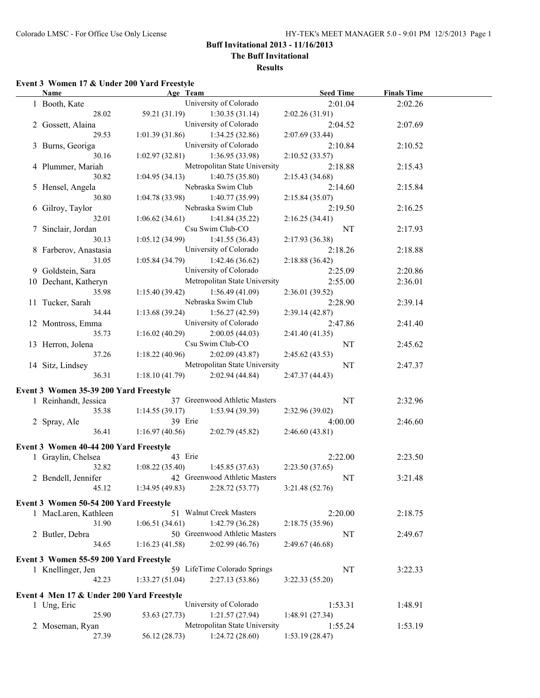**The Buff Invitational**

**Results**

# **Event 3 Women 17 & Under 200 Yard Freestyle**

| <b>Name</b>                                                 | Age Team       |                               | <b>Seed Time</b> | <b>Finals Time</b> |  |
|-------------------------------------------------------------|----------------|-------------------------------|------------------|--------------------|--|
| 1 Booth, Kate                                               |                | University of Colorado        | 2:01.04          | 2:02.26            |  |
| 28.02                                                       | 59.21 (31.19)  | 1:30.35(31.14)                | 2:02.26(31.91)   |                    |  |
| 2 Gossett, Alaina                                           |                | University of Colorado        | 2:04.52          | 2:07.69            |  |
| 29.53                                                       | 1:01.39(31.86) | 1:34.25(32.86)                | 2:07.69 (33.44)  |                    |  |
| 3 Burns, Georiga                                            |                | University of Colorado        | 2:10.84          | 2:10.52            |  |
| 30.16                                                       | 1:02.97(32.81) | 1:36.95 (33.98)               | 2:10.52(33.57)   |                    |  |
| 4 Plummer, Mariah                                           |                | Metropolitan State University | 2:18.88          | 2:15.43            |  |
| 30.82                                                       | 1:04.95(34.13) | 1:40.75(35.80)                | 2:15.43(34.68)   |                    |  |
| 5 Hensel, Angela                                            |                | Nebraska Swim Club            | 2:14.60          | 2:15.84            |  |
| 30.80                                                       | 1:04.78(33.98) | 1:40.77(35.99)                | 2:15.84(35.07)   |                    |  |
| 6 Gilroy, Taylor                                            |                | Nebraska Swim Club            | 2:19.50          | 2:16.25            |  |
| 32.01                                                       | 1:06.62(34.61) | 1:41.84(35.22)                | 2:16.25(34.41)   |                    |  |
| 7 Sinclair, Jordan                                          |                | Csu Swim Club-CO              | NT               | 2:17.93            |  |
| 30.13                                                       | 1:05.12(34.99) | 1:41.55(36.43)                | 2:17.93 (36.38)  |                    |  |
| 8 Farberov, Anastasia                                       |                | University of Colorado        | 2:18.26          | 2:18.88            |  |
| 31.05                                                       | 1:05.84(34.79) | 1:42.46(36.62)                | 2:18.88 (36.42)  |                    |  |
| 9 Goldstein, Sara                                           |                | University of Colorado        | 2:25.09          | 2:20.86            |  |
| 10 Dechant, Katheryn                                        |                | Metropolitan State University | 2:55.00          | 2:36.01            |  |
| 35.98                                                       | 1:15.40(39.42) | 1:56.49(41.09)                | 2:36.01(39.52)   |                    |  |
| 11 Tucker, Sarah                                            |                | Nebraska Swim Club            | 2:28.90          | 2:39.14            |  |
| 34.44                                                       | 1:13.68(39.24) | 1:56.27(42.59)                | 2:39.14(42.87)   |                    |  |
| 12 Montross, Emma                                           |                | University of Colorado        | 2:47.86          | 2:41.40            |  |
| 35.73                                                       | 1:16.02(40.29) | 2:00.05(44.03)                | 2:41.40 (41.35)  |                    |  |
| 13 Herron, Jolena                                           |                | Csu Swim Club-CO              | NT               | 2:45.62            |  |
| 37.26                                                       | 1:18.22(40.96) | 2:02.09(43.87)                | 2:45.62 (43.53)  |                    |  |
| 14 Sitz, Lindsey                                            |                | Metropolitan State University | NT               | 2:47.37            |  |
| 36.31                                                       | 1:18.10(41.79) | 2:02.94(44.84)                | 2:47.37(44.43)   |                    |  |
| Event 3 Women 35-39 200 Yard Freestyle                      |                |                               |                  |                    |  |
| 1 Reinhandt, Jessica                                        |                | 37 Greenwood Athletic Masters | NT               | 2:32.96            |  |
| 35.38                                                       | 1:14.55(39.17) | 1:53.94(39.39)                | 2:32.96(39.02)   |                    |  |
| 2 Spray, Ale                                                | 39 Erie        |                               | 4:00.00          | 2:46.60            |  |
| 36.41                                                       | 1:16.97(40.56) | 2:02.79(45.82)                | 2:46.60(43.81)   |                    |  |
|                                                             |                |                               |                  |                    |  |
| Event 3 Women 40-44 200 Yard Freestyle                      |                |                               |                  |                    |  |
| 1 Graylin, Chelsea                                          | 43 Erie        |                               | 2:22.00          | 2:23.50            |  |
| 32.82                                                       | 1:08.22(35.40) | 1:45.85(37.63)                | 2:23.50 (37.65)  |                    |  |
| 2 Bendell, Jennifer                                         |                | 42 Greenwood Athletic Masters | NT               | 3:21.48            |  |
| 45.12                                                       | 1:34.95(49.83) | 2:28.72(53.77)                | 3:21.48 (52.76)  |                    |  |
| Event 3 Women 50-54 200 Yard Freestyle                      |                |                               |                  |                    |  |
| 1 MacLaren, Kathleen                                        |                | 51 Walnut Creek Masters       | 2:20.00          | 2:18.75            |  |
| 31.90                                                       | 1:06.51(34.61) | 1:42.79 (36.28)               | 2:18.75 (35.96)  |                    |  |
| 2 Butler, Debra                                             |                | 50 Greenwood Athletic Masters | NT               | 2:49.67            |  |
| 34.65                                                       | 1:16.23(41.58) | 2:02.99(46.76)                | 2:49.67 (46.68)  |                    |  |
|                                                             |                |                               |                  |                    |  |
| Event 3 Women 55-59 200 Yard Freestyle<br>1 Knellinger, Jen |                | 59 LifeTime Colorado Springs  | NT               |                    |  |
|                                                             |                |                               |                  | 3:22.33            |  |
| 42.23                                                       | 1:33.27(51.04) | 2:27.13(53.86)                | 3:22.33(55.20)   |                    |  |
| Event 4 Men 17 & Under 200 Yard Freestyle                   |                |                               |                  |                    |  |
| 1 Ung, Eric                                                 |                | University of Colorado        | 1:53.31          | 1:48.91            |  |
| 25.90                                                       | 53.63 (27.73)  | 1:21.57(27.94)                | 1:48.91(27.34)   |                    |  |
| 2 Moseman, Ryan                                             |                | Metropolitan State University | 1:55.24          | 1:53.19            |  |
| 27.39                                                       | 56.12 (28.73)  | 1:24.72(28.60)                | 1:53.19 (28.47)  |                    |  |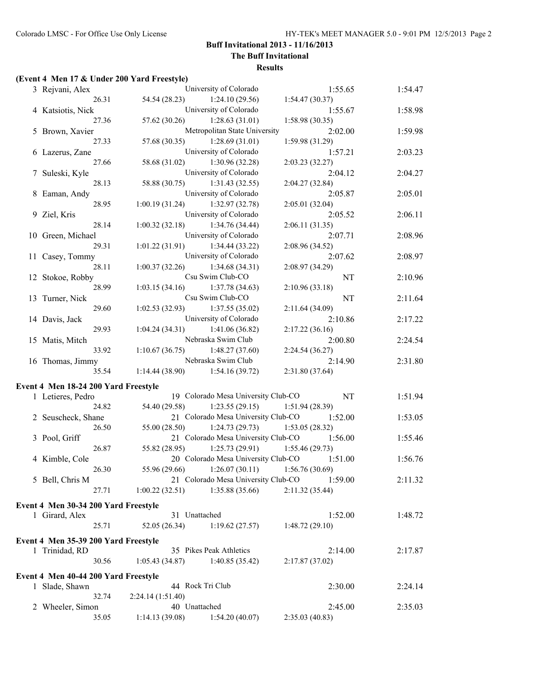**The Buff Invitational**

#### **Results**

# **(Event 4 Men 17 & Under 200 Yard Freestyle)**

| 3 Rejvani, Alex                      |                                   | University of Colorado                        | 1:55.65         | 1:54.47 |
|--------------------------------------|-----------------------------------|-----------------------------------------------|-----------------|---------|
| 26.31                                | 54.54 (28.23)                     | 1:24.10(29.56)                                | 1:54.47(30.37)  |         |
| 4 Katsiotis, Nick                    |                                   | University of Colorado                        | 1:55.67         | 1:58.98 |
| 27.36                                |                                   | 57.62 (30.26) 1:28.63 (31.01)                 | 1:58.98 (30.35) |         |
| 5 Brown, Xavier                      |                                   | Metropolitan State University                 | 2:02.00         | 1:59.98 |
| 27.33                                |                                   | $57.68(30.35)$ 1:28.69 (31.01)                | 1:59.98 (31.29) |         |
| 6 Lazerus, Zane                      |                                   | University of Colorado                        | 1:57.21         | 2:03.23 |
| 27.66                                | 58.68 (31.02)                     | 1:30.96(32.28)                                | 2:03.23 (32.27) |         |
| 7 Suleski, Kyle                      |                                   | University of Colorado                        | 2:04.12         | 2:04.27 |
| 28.13                                | 58.88 (30.75)                     | 1:31.43(32.55)                                | 2:04.27 (32.84) |         |
| 8 Eaman, Andy                        |                                   | University of Colorado                        | 2:05.87         | 2:05.01 |
| 28.95                                | 1:00.19(31.24)                    | 1:32.97 (32.78)                               | 2:05.01 (32.04) |         |
| 9 Ziel, Kris                         |                                   | University of Colorado                        | 2:05.52         | 2:06.11 |
| 28.14                                | 1:00.32(32.18)                    | 1:34.76 (34.44)                               | 2:06.11(31.35)  |         |
| 10 Green, Michael                    |                                   | University of Colorado                        | 2:07.71         | 2:08.96 |
| 29.31                                | 1:01.22(31.91)                    | 1:34.44 (33.22)                               | 2:08.96 (34.52) |         |
|                                      |                                   | University of Colorado                        |                 |         |
| 11 Casey, Tommy                      |                                   |                                               | 2:07.62         | 2:08.97 |
| 28.11                                | 1:00.37(32.26)                    | 1:34.68(34.31)                                | 2:08.97 (34.29) |         |
| 12 Stokoe, Robby                     |                                   | Csu Swim Club-CO                              | <b>NT</b>       | 2:10.96 |
| 28.99                                | 1:03.15(34.16)                    | 1:37.78(34.63)                                | 2:10.96(33.18)  |         |
| 13 Turner, Nick                      |                                   | Csu Swim Club-CO                              | NT              | 2:11.64 |
| 29.60                                | 1:02.53(32.93)                    | 1:37.55(35.02)                                | 2:11.64 (34.09) |         |
| 14 Davis, Jack                       |                                   | University of Colorado                        | 2:10.86         | 2:17.22 |
| 29.93                                | 1:04.24(34.31)                    | 1:41.06(36.82)                                | 2:17.22(36.16)  |         |
| 15 Matis, Mitch                      |                                   | Nebraska Swim Club                            | 2:00.80         | 2:24.54 |
| 33.92                                | 1:10.67(36.75)                    | 1:48.27(37.60)                                | 2:24.54 (36.27) |         |
| 16 Thomas, Jimmy                     |                                   | Nebraska Swim Club                            | 2:14.90         | 2:31.80 |
| 35.54                                | $1:14.44(38.90)$ $1:54.16(39.72)$ |                                               | 2:31.80 (37.64) |         |
| Event 4 Men 18-24 200 Yard Freestyle |                                   |                                               |                 |         |
| 1 Letieres, Pedro                    |                                   | 19 Colorado Mesa University Club-CO           | NT              | 1:51.94 |
| 24.82                                | 54.40 (29.58)                     | 1:23.55(29.15)                                | 1:51.94(28.39)  |         |
| 2 Seuscheck, Shane                   |                                   | 21 Colorado Mesa University Club-CO           | 1:52.00         | 1:53.05 |
| 26.50                                | 55.00 (28.50)                     | $1:24.73(29.73)$ $1:53.05(28.32)$             |                 |         |
| 3 Pool, Griff                        |                                   | 21 Colorado Mesa University Club-CO           | 1:56.00         | 1:55.46 |
| 26.87                                | 55.82 (28.95)                     | $1:25.73(29.91)$ $1:55.46(29.73)$             |                 |         |
| 4 Kimble, Cole                       |                                   | 20 Colorado Mesa University Club-CO           | 1:51.00         | 1:56.76 |
| 26.30                                |                                   | 55.96 (29.66) 1:26.07 (30.11) 1:56.76 (30.69) |                 |         |
| 5 Bell, Chris M                      |                                   | 21 Colorado Mesa University Club-CO 1:59.00   |                 | 2:11.32 |
|                                      | $1:00.22(32.51)$ $1:35.88(35.66)$ |                                               |                 |         |
| 27.71                                |                                   |                                               | 2:11.32(35.44)  |         |
| Event 4 Men 30-34 200 Yard Freestyle |                                   |                                               |                 |         |
| 1 Girard, Alex                       | 31 Unattached                     |                                               | 1:52.00         | 1:48.72 |
| 25.71                                | 52.05(26.34)                      | 1:19.62(27.57)                                | 1:48.72(29.10)  |         |
|                                      |                                   |                                               |                 |         |
| Event 4 Men 35-39 200 Yard Freestyle |                                   | 35 Pikes Peak Athletics                       |                 |         |
| 1 Trinidad, RD                       |                                   |                                               | 2:14.00         | 2:17.87 |
| 30.56                                | 1:05.43(34.87)                    | 1:40.85(35.42)                                | 2:17.87(37.02)  |         |
| Event 4 Men 40-44 200 Yard Freestyle |                                   |                                               |                 |         |
| 1 Slade, Shawn                       |                                   | 44 Rock Tri Club                              | 2:30.00         | 2:24.14 |
| 32.74                                | 2:24.14(1:51.40)                  |                                               |                 |         |
| 2 Wheeler, Simon                     | 40 Unattached                     |                                               | 2:45.00         | 2:35.03 |
| 35.05                                |                                   | 1:14.13 (39.08) 1:54.20 (40.07)               | 2:35.03(40.83)  |         |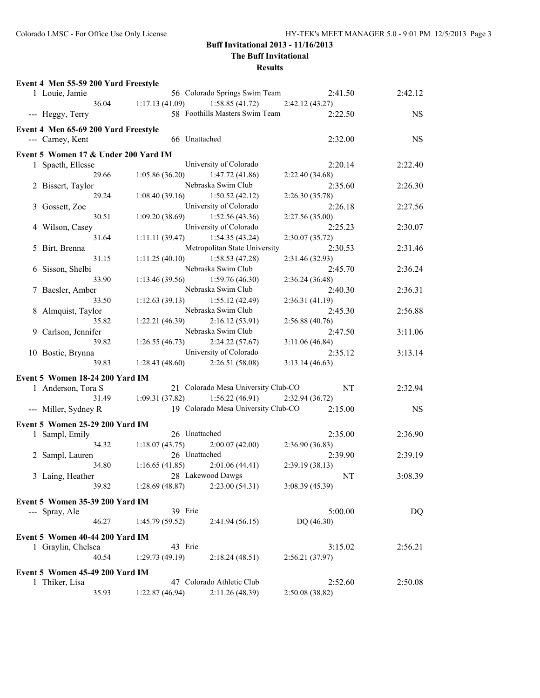## **The Buff Invitational**

| Event 4 Men 55-59 200 Yard Freestyle |                |                                     |                            |           |
|--------------------------------------|----------------|-------------------------------------|----------------------------|-----------|
| 1 Louie, Jamie                       |                | 56 Colorado Springs Swim Team       | 2:41.50                    | 2:42.12   |
| 36.04                                | 1:17.13(41.09) | 1:58.85(41.72)                      | 2:42.12 (43.27)            |           |
| --- Heggy, Terry                     |                | 58 Foothills Masters Swim Team      | 2:22.50                    | <b>NS</b> |
|                                      |                |                                     |                            |           |
| Event 4 Men 65-69 200 Yard Freestyle |                |                                     |                            |           |
| --- Carney, Kent                     |                | 66 Unattached                       | 2:32.00                    | <b>NS</b> |
| Event 5 Women 17 & Under 200 Yard IM |                |                                     |                            |           |
| 1 Spaeth, Ellesse                    |                | University of Colorado              | 2:20.14                    | 2:22.40   |
| 29.66                                |                | $1:05.86(36.20)$ $1:47.72(41.86)$   | 2:22.40 (34.68)            |           |
| 2 Bissert, Taylor                    |                | Nebraska Swim Club                  | 2:35.60                    | 2:26.30   |
| 29.24                                | 1:08.40(39.16) | 1:50.52(42.12)                      | 2:26.30(35.78)             |           |
| 3 Gossett, Zoe                       |                | University of Colorado              | 2:26.18                    | 2:27.56   |
| 30.51                                |                | $1:09.20(38.69)$ $1:52.56(43.36)$   | 2:27.56 (35.00)            |           |
|                                      |                | University of Colorado              |                            |           |
| 4 Wilson, Casey<br>31.64             |                | 1:54.35(43.24)                      | 2:25.23                    | 2:30.07   |
|                                      | 1:11.11(39.47) |                                     | 2:30.07 (35.72)            |           |
| 5 Birt, Brenna                       |                | Metropolitan State University       | 2:30.53                    | 2:31.46   |
| 31.15                                | 1:11.25(40.10) | 1:58.53(47.28)                      | 2:31.46 (32.93)            |           |
| 6 Sisson, Shelbi                     |                | Nebraska Swim Club                  | 2:45.70                    | 2:36.24   |
| 33.90                                |                | $1:13.46(39.56)$ $1:59.76(46.30)$   | 2:36.24 (36.48)            |           |
| 7 Baesler, Amber                     |                | Nebraska Swim Club                  | 2:40.30                    | 2:36.31   |
| 33.50                                |                | $1:12.63(39.13)$ $1:55.12(42.49)$   | 2:36.31(41.19)             |           |
| 8 Almquist, Taylor                   |                | Nebraska Swim Club                  | 2:45.30                    | 2:56.88   |
| 35.82                                | 1:22.21(46.39) | 2:16.12(53.91)                      | 2:56.88(40.76)             |           |
| 9 Carlson, Jennifer                  |                | Nebraska Swim Club                  | 2:47.50                    | 3:11.06   |
| 39.82                                |                | $1:26.55(46.73)$ $2:24.22(57.67)$   | 3:11.06(46.84)             |           |
| 10 Bostic, Brynna                    |                | University of Colorado              | 2:35.12                    | 3:13.14   |
| 39.83                                |                | $1:28.43(48.60)$ $2:26.51(58.08)$   | 3:13.14(46.63)             |           |
| Event 5 Women 18-24 200 Yard IM      |                |                                     |                            |           |
| 1 Anderson, Tora S                   |                | 21 Colorado Mesa University Club-CO | $\mathop{\rm NT}\nolimits$ | 2:32.94   |
| 31.49                                | 1:09.31(37.82) | 1:56.22(46.91)                      | 2:32.94 (36.72)            |           |
|                                      |                | 19 Colorado Mesa University Club-CO | 2:15.00                    | <b>NS</b> |
| --- Miller, Sydney R                 |                |                                     |                            |           |
| Event 5 Women 25-29 200 Yard IM      |                |                                     |                            |           |
| 1 Sampl, Emily                       |                | 26 Unattached                       | 2:35.00                    | 2:36.90   |
| 34.32                                | 1:18.07(43.75) | 2:00.07(42.00)                      | 2:36.90 (36.83)            |           |
| 2 Sampl, Lauren                      |                | 26 Unattached                       | 2:39.90                    | 2:39.19   |
| 34.80                                |                | $1:16.65(41.85)$ $2:01.06(44.41)$   | 2:39.19(38.13)             |           |
| 3 Laing, Heather                     |                | 28 Lakewood Dawgs                   | NT                         | 3:08.39   |
| 39.82                                | 1:28.69(48.87) | 2:23.00(54.31)                      | 3:08.39(45.39)             |           |
|                                      |                |                                     |                            |           |
| Event 5 Women 35-39 200 Yard IM      |                |                                     |                            |           |
| --- Spray, Ale                       | 39 Erie        |                                     | 5:00.00                    | DQ        |
| 46.27                                | 1:45.79(59.52) | 2:41.94(56.15)                      | DQ (46.30)                 |           |
| Event 5 Women 40-44 200 Yard IM      |                |                                     |                            |           |
| 1 Graylin, Chelsea                   | 43 Erie        |                                     | 3:15.02                    | 2:56.21   |
| 40.54                                | 1:29.73(49.19) | 2:18.24(48.51)                      | 2:56.21(37.97)             |           |
|                                      |                |                                     |                            |           |
| Event 5 Women 45-49 200 Yard IM      |                | 47 Colorado Athletic Club           |                            |           |
| 1 Thiker, Lisa                       |                |                                     | 2:52.60                    | 2:50.08   |
| 35.93                                | 1:22.87(46.94) | 2:11.26 (48.39)                     | 2:50.08 (38.82)            |           |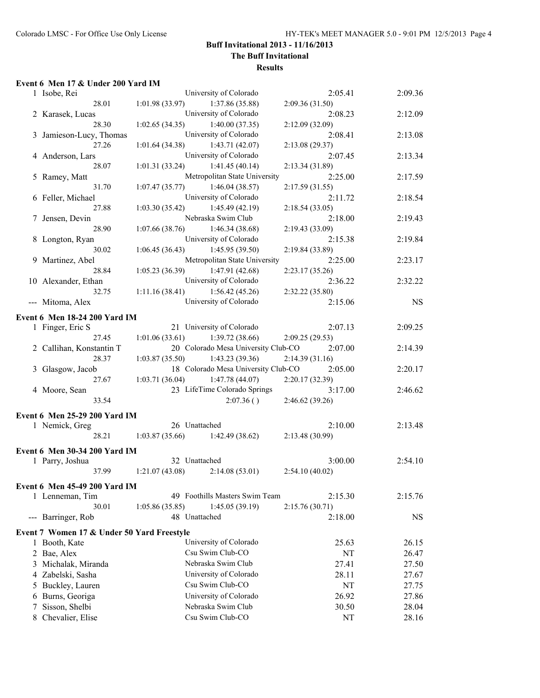### **Buff Invitational 2013 - 11/16/2013 The Buff Invitational**

# **Results**

### **Event 6 Men 17 & Under 200 Yard IM**

|   | 1 Isobe, Rei                               |                | University of Colorado              | 2:05.41         | 2:09.36   |
|---|--------------------------------------------|----------------|-------------------------------------|-----------------|-----------|
|   | 28.01                                      | 1:01.98(33.97) | 1:37.86 (35.88)                     | 2:09.36 (31.50) |           |
|   | 2 Karasek, Lucas                           |                | University of Colorado              | 2:08.23         | 2:12.09   |
|   | 28.30                                      | 1:02.65(34.35) | 1:40.00(37.35)                      | 2:12.09 (32.09) |           |
|   | 3 Jamieson-Lucy, Thomas                    |                | University of Colorado              | 2:08.41         | 2:13.08   |
|   | 27.26                                      | 1:01.64(34.38) | 1:43.71(42.07)                      | 2:13.08 (29.37) |           |
|   | 4 Anderson, Lars                           |                | University of Colorado              | 2:07.45         | 2:13.34   |
|   | 28.07                                      | 1:01.31(33.24) | 1:41.45(40.14)                      | 2:13.34 (31.89) |           |
|   | 5 Ramey, Matt                              |                | Metropolitan State University       | 2:25.00         | 2:17.59   |
|   | 31.70                                      | 1:07.47(35.77) | 1:46.04(38.57)                      | 2:17.59(31.55)  |           |
|   | 6 Feller, Michael                          |                | University of Colorado              | 2:11.72         | 2:18.54   |
|   | 27.88                                      | 1:03.30(35.42) | 1:45.49(42.19)                      | 2:18.54(33.05)  |           |
|   | 7 Jensen, Devin                            |                | Nebraska Swim Club                  | 2:18.00         | 2:19.43   |
|   | 28.90                                      | 1:07.66(38.76) | 1:46.34 (38.68)                     | 2:19.43 (33.09) |           |
|   | 8 Longton, Ryan                            |                | University of Colorado              | 2:15.38         | 2:19.84   |
|   | 30.02                                      | 1:06.45(36.43) | 1:45.95(39.50)                      | 2:19.84 (33.89) |           |
|   | 9 Martinez, Abel                           |                | Metropolitan State University       | 2:25.00         | 2:23.17   |
|   | 28.84                                      | 1:05.23(36.39) | 1:47.91 (42.68)                     | 2:23.17(35.26)  |           |
|   | 10 Alexander, Ethan                        |                | University of Colorado              | 2:36.22         | 2:32.22   |
|   | 32.75                                      | 1:11.16(38.41) | 1:56.42(45.26)                      | 2:32.22 (35.80) |           |
|   | --- Mitoma, Alex                           |                | University of Colorado              | 2:15.06         | <b>NS</b> |
|   |                                            |                |                                     |                 |           |
|   | Event 6 Men 18-24 200 Yard IM              |                |                                     |                 |           |
|   | 1 Finger, Eric S                           |                | 21 University of Colorado           | 2:07.13         | 2:09.25   |
|   | 27.45                                      | 1:01.06(33.61) | 1:39.72(38.66)                      | 2:09.25(29.53)  |           |
|   | 2 Callihan, Konstantin T                   |                | 20 Colorado Mesa University Club-CO | 2:07.00         | 2:14.39   |
|   | 28.37                                      | 1:03.87(35.50) | 1:43.23(39.36)                      | 2:14.39(31.16)  |           |
|   | 3 Glasgow, Jacob                           |                | 18 Colorado Mesa University Club-CO | 2:05.00         | 2:20.17   |
|   | 27.67                                      | 1:03.71(36.04) | 1:47.78 (44.07)                     | 2:20.17 (32.39) |           |
|   | 4 Moore, Sean                              |                | 23 LifeTime Colorado Springs        | 3:17.00         | 2:46.62   |
|   | 33.54                                      |                | 2:07.36()                           | 2:46.62 (39.26) |           |
|   | Event 6 Men 25-29 200 Yard IM              |                |                                     |                 |           |
|   | 1 Nemick, Greg                             |                | 26 Unattached                       | 2:10.00         | 2:13.48   |
|   | 28.21                                      |                | $1:03.87(35.66)$ 1:42.49 (38.62)    | 2:13.48 (30.99) |           |
|   |                                            |                |                                     |                 |           |
|   | Event 6 Men 30-34 200 Yard IM              |                |                                     |                 |           |
|   | 1 Parry, Joshua                            | 32 Unattached  |                                     | 3:00.00         | 2:54.10   |
|   | 37.99                                      | 1:21.07(43.08) | 2:14.08(53.01)                      | 2:54.10(40.02)  |           |
|   | <b>Event 6 Men 45-49 200 Yard IM</b>       |                |                                     |                 |           |
|   | 1 Lenneman, Tim                            |                | 49 Foothills Masters Swim Team      | 2:15.30         | 2:15.76   |
|   | 30.01                                      | 1:05.86(35.85) | 1:45.05(39.19)                      | 2:15.76(30.71)  |           |
|   | --- Barringer, Rob                         |                | 48 Unattached                       | 2:18.00         | <b>NS</b> |
|   |                                            |                |                                     |                 |           |
|   | Event 7 Women 17 & Under 50 Yard Freestyle |                |                                     |                 |           |
|   | 1 Booth, Kate                              |                | University of Colorado              | 25.63           | 26.15     |
|   | 2 Bae, Alex                                |                | Csu Swim Club-CO                    | NT              | 26.47     |
|   | 3 Michalak, Miranda                        |                | Nebraska Swim Club                  | 27.41           | 27.50     |
|   | 4 Zabelski, Sasha                          |                | University of Colorado              | 28.11           | 27.67     |
|   | 5 Buckley, Lauren                          |                | Csu Swim Club-CO                    | NT              | 27.75     |
|   | 6 Burns, Georiga                           |                | University of Colorado              | 26.92           | 27.86     |
| 7 | Sisson, Shelbi                             |                | Nebraska Swim Club                  | 30.50           | 28.04     |
|   | 8 Chevalier, Elise                         |                | Csu Swim Club-CO                    | NT              | 28.16     |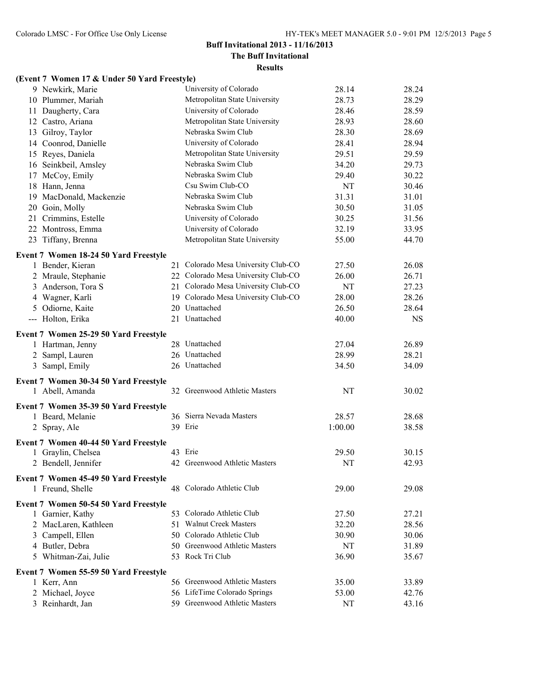# **The Buff Invitational**

| (Event 7 Women 17 & Under 50 Yard Freestyle)                |                                     |         |           |
|-------------------------------------------------------------|-------------------------------------|---------|-----------|
| 9 Newkirk, Marie                                            | University of Colorado              | 28.14   | 28.24     |
| 10 Plummer, Mariah                                          | Metropolitan State University       | 28.73   | 28.29     |
| 11 Daugherty, Cara                                          | University of Colorado              | 28.46   | 28.59     |
| 12 Castro, Ariana                                           | Metropolitan State University       | 28.93   | 28.60     |
| 13 Gilroy, Taylor                                           | Nebraska Swim Club                  | 28.30   | 28.69     |
| 14 Coonrod, Danielle                                        | University of Colorado              | 28.41   | 28.94     |
| 15 Reyes, Daniela                                           | Metropolitan State University       | 29.51   | 29.59     |
| 16 Seinkbeil, Amsley                                        | Nebraska Swim Club                  | 34.20   | 29.73     |
| 17 McCoy, Emily                                             | Nebraska Swim Club                  | 29.40   | 30.22     |
| 18 Hann, Jenna                                              | Csu Swim Club-CO                    | NT      | 30.46     |
| 19 MacDonald, Mackenzie                                     | Nebraska Swim Club                  | 31.31   | 31.01     |
| 20 Goin, Molly                                              | Nebraska Swim Club                  | 30.50   | 31.05     |
| 21 Crimmins, Estelle                                        | University of Colorado              | 30.25   | 31.56     |
| 22 Montross, Emma                                           | University of Colorado              | 32.19   | 33.95     |
| 23 Tiffany, Brenna                                          | Metropolitan State University       | 55.00   | 44.70     |
| Event 7 Women 18-24 50 Yard Freestyle                       |                                     |         |           |
| 1 Bender, Kieran                                            | 21 Colorado Mesa University Club-CO | 27.50   | 26.08     |
| 2 Mraule, Stephanie                                         | 22 Colorado Mesa University Club-CO | 26.00   | 26.71     |
| 3 Anderson, Tora S                                          | 21 Colorado Mesa University Club-CO | NT      | 27.23     |
| 4 Wagner, Karli                                             | 19 Colorado Mesa University Club-CO | 28.00   | 28.26     |
| 5 Odiorne, Kaite                                            | 20 Unattached                       | 26.50   | 28.64     |
| --- Holton, Erika                                           | 21 Unattached                       | 40.00   | <b>NS</b> |
| Event 7 Women 25-29 50 Yard Freestyle                       |                                     |         |           |
| 1 Hartman, Jenny                                            | 28 Unattached                       | 27.04   | 26.89     |
| 2 Sampl, Lauren                                             | 26 Unattached                       | 28.99   | 28.21     |
| 3 Sampl, Emily                                              | 26 Unattached                       | 34.50   | 34.09     |
| Event 7 Women 30-34 50 Yard Freestyle                       |                                     |         |           |
| 1 Abell, Amanda                                             | 32 Greenwood Athletic Masters       | NT      | 30.02     |
| Event 7 Women 35-39 50 Yard Freestyle                       |                                     |         |           |
| 1 Beard, Melanie                                            | 36 Sierra Nevada Masters            | 28.57   | 28.68     |
| 2 Spray, Ale                                                | 39 Erie                             | 1:00.00 | 38.58     |
|                                                             |                                     |         |           |
| Event 7 Women 40-44 50 Yard Freestyle<br>1 Graylin, Chelsea | 43 Erie                             | 29.50   | 30.15     |
| 2 Bendell, Jennifer                                         | 42 Greenwood Athletic Masters       | NT      | 42.93     |
|                                                             |                                     |         |           |
| Event 7 Women 45-49 50 Yard Freestyle                       |                                     |         |           |
| 1 Freund, Shelle                                            | 48 Colorado Athletic Club           | 29.00   | 29.08     |
| Event 7 Women 50-54 50 Yard Freestyle                       |                                     |         |           |
| 1 Garnier, Kathy                                            | 53 Colorado Athletic Club           | 27.50   | 27.21     |
| 2 MacLaren, Kathleen                                        | 51 Walnut Creek Masters             | 32.20   | 28.56     |
| 3 Campell, Ellen                                            | 50 Colorado Athletic Club           | 30.90   | 30.06     |
| 4 Butler, Debra                                             | 50 Greenwood Athletic Masters       | NT      | 31.89     |
| Whitman-Zai, Julie<br>5                                     | 53 Rock Tri Club                    | 36.90   | 35.67     |
| Event 7 Women 55-59 50 Yard Freestyle                       |                                     |         |           |
| 1 Kerr, Ann                                                 | 56 Greenwood Athletic Masters       | 35.00   | 33.89     |
| 2 Michael, Joyce                                            | 56 LifeTime Colorado Springs        | 53.00   | 42.76     |
| 3 Reinhardt, Jan                                            | 59 Greenwood Athletic Masters       | NT      | 43.16     |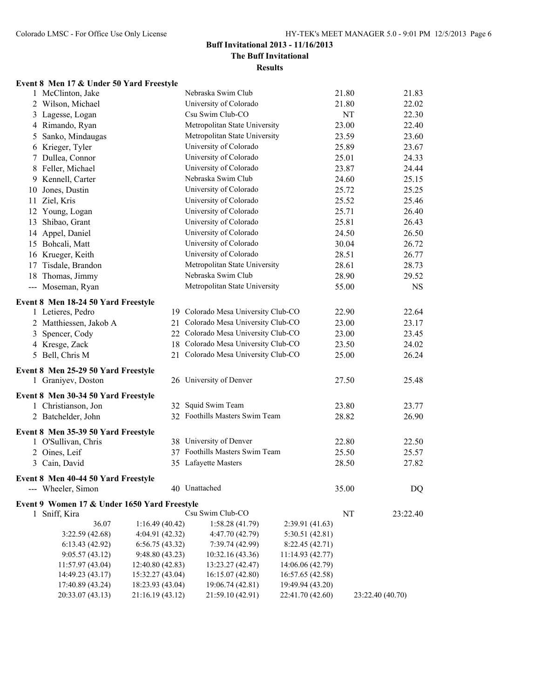### **Buff Invitational 2013 - 11/16/2013 The Buff Invitational**

**Results**

# **Event 8 Men 17 & Under 50 Yard Freestyle**

|    | 1 McClinton, Jake                            |                  | Nebraska Swim Club                  |                  | 21.80 | 21.83            |
|----|----------------------------------------------|------------------|-------------------------------------|------------------|-------|------------------|
|    | 2 Wilson, Michael                            |                  | University of Colorado              |                  | 21.80 | 22.02            |
|    | 3 Lagesse, Logan                             |                  | Csu Swim Club-CO                    |                  | NT    | 22.30            |
|    | 4 Rimando, Ryan                              |                  | Metropolitan State University       |                  | 23.00 | 22.40            |
| 5  | Sanko, Mindaugas                             |                  | Metropolitan State University       |                  | 23.59 | 23.60            |
|    | 6 Krieger, Tyler                             |                  | University of Colorado              |                  | 25.89 | 23.67            |
|    | 7 Dullea, Connor                             |                  | University of Colorado              |                  | 25.01 | 24.33            |
|    | 8 Feller, Michael                            |                  | University of Colorado              |                  | 23.87 | 24.44            |
|    | 9 Kennell, Carter                            |                  | Nebraska Swim Club                  |                  | 24.60 | 25.15            |
|    | 10 Jones, Dustin                             |                  | University of Colorado              |                  | 25.72 | 25.25            |
|    | 11 Ziel, Kris                                |                  | University of Colorado              |                  | 25.52 | 25.46            |
|    | 12 Young, Logan                              |                  | University of Colorado              |                  | 25.71 | 26.40            |
| 13 | Shibao, Grant                                |                  | University of Colorado              |                  | 25.81 | 26.43            |
|    | 14 Appel, Daniel                             |                  | University of Colorado              |                  | 24.50 | 26.50            |
|    | 15 Bohcali, Matt                             |                  | University of Colorado              |                  | 30.04 | 26.72            |
|    | 16 Krueger, Keith                            |                  | University of Colorado              |                  | 28.51 | 26.77            |
|    | 17 Tisdale, Brandon                          |                  | Metropolitan State University       |                  | 28.61 | 28.73            |
|    | 18 Thomas, Jimmy                             |                  | Nebraska Swim Club                  |                  | 28.90 | 29.52            |
|    | --- Moseman, Ryan                            |                  | Metropolitan State University       |                  | 55.00 | <b>NS</b>        |
|    |                                              |                  |                                     |                  |       |                  |
|    | Event 8 Men 18-24 50 Yard Freestyle          |                  |                                     |                  |       |                  |
|    | 1 Letieres, Pedro                            |                  | 19 Colorado Mesa University Club-CO |                  | 22.90 | 22.64            |
|    | 2 Matthiessen, Jakob A                       | 21               | Colorado Mesa University Club-CO    |                  | 23.00 | 23.17            |
|    | 3 Spencer, Cody                              |                  | 22 Colorado Mesa University Club-CO |                  | 23.00 | 23.45            |
|    | 4 Kresge, Zack                               |                  | 18 Colorado Mesa University Club-CO |                  | 23.50 | 24.02            |
|    | 5 Bell, Chris M                              |                  | 21 Colorado Mesa University Club-CO |                  | 25.00 | 26.24            |
|    | Event 8 Men 25-29 50 Yard Freestyle          |                  |                                     |                  |       |                  |
|    | 1 Graniyev, Doston                           |                  | 26 University of Denver             |                  | 27.50 | 25.48            |
|    | Event 8 Men 30-34 50 Yard Freestyle          |                  |                                     |                  |       |                  |
|    | 1 Christianson, Jon                          |                  | 32 Squid Swim Team                  |                  | 23.80 | 23.77            |
|    | 2 Batchelder, John                           |                  | 32 Foothills Masters Swim Team      |                  | 28.82 | 26.90            |
|    |                                              |                  |                                     |                  |       |                  |
|    | Event 8 Men 35-39 50 Yard Freestyle          |                  |                                     |                  |       |                  |
|    | 1 O'Sullivan, Chris                          |                  | 38 University of Denver             |                  | 22.80 | 22.50            |
|    | 2 Oines, Leif                                |                  | 37 Foothills Masters Swim Team      |                  | 25.50 | 25.57            |
|    | 3 Cain, David                                |                  | 35 Lafayette Masters                |                  | 28.50 | 27.82            |
|    | Event 8 Men 40-44 50 Yard Freestyle          |                  |                                     |                  |       |                  |
|    | --- Wheeler, Simon                           |                  | 40 Unattached                       |                  | 35.00 | DQ               |
|    | Event 9 Women 17 & Under 1650 Yard Freestyle |                  |                                     |                  |       |                  |
|    | 1 Sniff, Kira                                |                  | Csu Swim Club-CO                    |                  | NT    | 23:22.40         |
|    | 36.07                                        | 1:16.49(40.42)   | 1:58.28 (41.79)                     | 2:39.91 (41.63)  |       |                  |
|    | 3:22.59 (42.68)                              | 4:04.91 (42.32)  | 4:47.70 (42.79)                     | 5:30.51 (42.81)  |       |                  |
|    | 6:13.43(42.92)                               | 6:56.75(43.32)   | 7:39.74 (42.99)                     | 8:22.45 (42.71)  |       |                  |
|    | 9:05.57(43.12)                               | 9:48.80 (43.23)  | 10:32.16 (43.36)                    | 11:14.93 (42.77) |       |                  |
|    | 11:57.97 (43.04)                             | 12:40.80 (42.83) | 13:23.27 (42.47)                    | 14:06.06 (42.79) |       |                  |
|    | 14:49.23 (43.17)                             | 15:32.27 (43.04) | 16:15.07 (42.80)                    | 16:57.65 (42.58) |       |                  |
|    | 17:40.89 (43.24)                             | 18:23.93 (43.04) | 19:06.74 (42.81)                    | 19:49.94 (43.20) |       |                  |
|    | 20:33.07 (43.13)                             | 21:16.19 (43.12) | 21:59.10 (42.91)                    | 22:41.70 (42.60) |       | 23:22.40 (40.70) |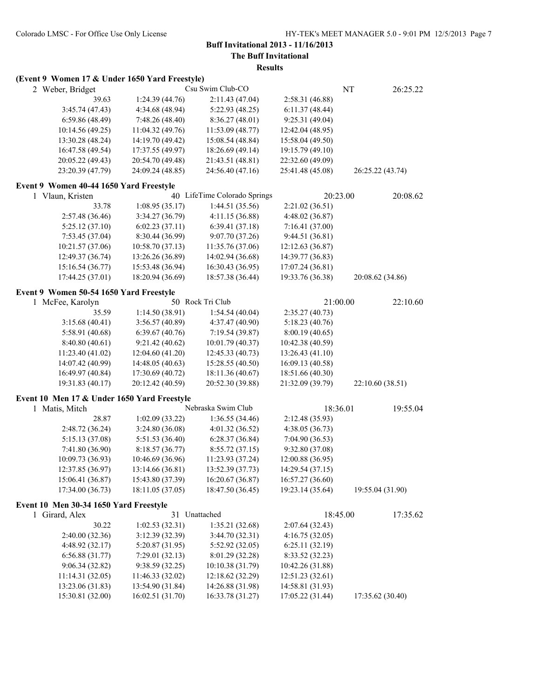**The Buff Invitational**

| (Event 9 Women 17 & Under 1650 Yard Freestyle) |                  |                              |                  |          |                  |
|------------------------------------------------|------------------|------------------------------|------------------|----------|------------------|
| 2 Weber, Bridget                               |                  | Csu Swim Club-CO             |                  | NT       | 26:25.22         |
| 39.63                                          | 1:24.39 (44.76)  | 2:11.43 (47.04)              | 2:58.31 (46.88)  |          |                  |
| 3:45.74(47.43)                                 | 4:34.68 (48.94)  | 5:22.93 (48.25)              | 6:11.37 (48.44)  |          |                  |
| 6:59.86 (48.49)                                | 7:48.26 (48.40)  | 8:36.27 (48.01)              | 9:25.31(49.04)   |          |                  |
| 10:14.56 (49.25)                               | 11:04.32 (49.76) | 11:53.09 (48.77)             | 12:42.04 (48.95) |          |                  |
| 13:30.28 (48.24)                               | 14:19.70 (49.42) | 15:08.54 (48.84)             | 15:58.04 (49.50) |          |                  |
| 16:47.58 (49.54)                               | 17:37.55 (49.97) | 18:26.69 (49.14)             | 19:15.79 (49.10) |          |                  |
| 20:05.22 (49.43)                               | 20:54.70 (49.48) | 21:43.51 (48.81)             | 22:32.60 (49.09) |          |                  |
| 23:20.39 (47.79)                               | 24:09.24 (48.85) | 24:56.40 (47.16)             | 25:41.48 (45.08) |          | 26:25.22 (43.74) |
| Event 9 Women 40-44 1650 Yard Freestyle        |                  |                              |                  |          |                  |
| 1 Vlaun, Kristen                               |                  | 40 LifeTime Colorado Springs |                  | 20:23.00 | 20:08.62         |
| 33.78                                          | 1:08.95(35.17)   | 1:44.51(35.56)               | 2:21.02(36.51)   |          |                  |
| 2:57.48 (36.46)                                | 3:34.27 (36.79)  | 4:11.15 (36.88)              | 4:48.02 (36.87)  |          |                  |
| 5:25.12(37.10)                                 | 6:02.23(37.11)   | 6:39.41(37.18)               | 7:16.41 (37.00)  |          |                  |
| 7:53.45 (37.04)                                | 8:30.44 (36.99)  | 9:07.70 (37.26)              | 9:44.51 (36.81)  |          |                  |
| 10:21.57 (37.06)                               | 10:58.70 (37.13) | 11:35.76 (37.06)             | 12:12.63 (36.87) |          |                  |
| 12:49.37 (36.74)                               | 13:26.26 (36.89) | 14:02.94 (36.68)             | 14:39.77 (36.83) |          |                  |
| 15:16.54 (36.77)                               | 15:53.48 (36.94) | 16:30.43 (36.95)             | 17:07.24 (36.81) |          |                  |
| 17:44.25 (37.01)                               | 18:20.94 (36.69) | 18:57.38 (36.44)             | 19:33.76 (36.38) |          | 20:08.62 (34.86) |
| Event 9 Women 50-54 1650 Yard Freestyle        |                  |                              |                  |          |                  |
| 1 McFee, Karolyn                               |                  | 50 Rock Tri Club             |                  | 21:00.00 | 22:10.60         |
| 35.59                                          | 1:14.50(38.91)   | 1:54.54(40.04)               | 2:35.27(40.73)   |          |                  |
| 3:15.68(40.41)                                 | 3:56.57(40.89)   | 4:37.47 (40.90)              | 5:18.23(40.76)   |          |                  |
| 5:58.91 (40.68)                                | 6:39.67(40.76)   | 7:19.54 (39.87)              | 8:00.19 (40.65)  |          |                  |
| 8:40.80(40.61)                                 | 9:21.42(40.62)   | 10:01.79 (40.37)             | 10:42.38 (40.59) |          |                  |
| 11:23.40 (41.02)                               | 12:04.60 (41.20) | 12:45.33 (40.73)             | 13:26.43 (41.10) |          |                  |
| 14:07.42 (40.99)                               | 14:48.05 (40.63) | 15:28.55 (40.50)             | 16:09.13 (40.58) |          |                  |
| 16:49.97 (40.84)                               | 17:30.69 (40.72) | 18:11.36 (40.67)             | 18:51.66 (40.30) |          |                  |
| 19:31.83 (40.17)                               | 20:12.42 (40.59) | 20:52.30 (39.88)             | 21:32.09 (39.79) |          | 22:10.60 (38.51) |
| Event 10 Men 17 & Under 1650 Yard Freestyle    |                  |                              |                  |          |                  |
| 1 Matis, Mitch                                 |                  | Nebraska Swim Club           |                  | 18:36.01 | 19:55.04         |
| 28.87                                          | 1:02.09(33.22)   | 1:36.55(34.46)               | 2:12.48 (35.93)  |          |                  |
| 2:48.72 (36.24)                                | 3:24.80 (36.08)  | 4:01.32 (36.52)              | 4:38.05 (36.73)  |          |                  |
| 5:15.13 (37.08)                                | 5:51.53(36.40)   | 6:28.37(36.84)               | 7:04.90 (36.53)  |          |                  |
| 7:41.80 (36.90)                                | 8:18.57(36.77)   | 8:55.72(37.15)               | 9:32.80 (37.08)  |          |                  |
| 10:09.73 (36.93)                               | 10:46.69 (36.96) | 11:23.93 (37.24)             | 12:00.88 (36.95) |          |                  |
| 12:37.85 (36.97)                               | 13:14.66 (36.81) | 13:52.39 (37.73)             | 14:29.54 (37.15) |          |                  |
| 15:06.41 (36.87)                               | 15:43.80 (37.39) | 16:20.67 (36.87)             | 16:57.27 (36.60) |          |                  |
| 17:34.00 (36.73)                               | 18:11.05 (37.05) | 18:47.50 (36.45)             | 19:23.14 (35.64) |          | 19:55.04 (31.90) |
| Event 10 Men 30-34 1650 Yard Freestyle         |                  |                              |                  |          |                  |
| 1 Girard, Alex                                 |                  | 31 Unattached                |                  | 18:45.00 | 17:35.62         |
| 30.22                                          | 1:02.53(32.31)   | 1:35.21(32.68)               | 2:07.64(32.43)   |          |                  |
| 2:40.00 (32.36)                                | 3:12.39 (32.39)  | 3:44.70 (32.31)              | 4:16.75(32.05)   |          |                  |
| 4:48.92(32.17)                                 | 5:20.87(31.95)   | 5:52.92(32.05)               | 6:25.11(32.19)   |          |                  |
| 6:56.88(31.77)                                 | 7:29.01(32.13)   | 8:01.29 (32.28)              | 8:33.52 (32.23)  |          |                  |
| 9:06.34(32.82)                                 | 9:38.59 (32.25)  | 10:10.38 (31.79)             | 10:42.26 (31.88) |          |                  |
| 11:14.31(32.05)                                | 11:46.33 (32.02) | 12:18.62 (32.29)             | 12:51.23 (32.61) |          |                  |
| 13:23.06 (31.83)                               | 13:54.90 (31.84) | 14:26.88 (31.98)             | 14:58.81 (31.93) |          |                  |
| 15:30.81 (32.00)                               | 16:02.51 (31.70) | 16:33.78 (31.27)             | 17:05.22 (31.44) |          | 17:35.62 (30.40) |
|                                                |                  |                              |                  |          |                  |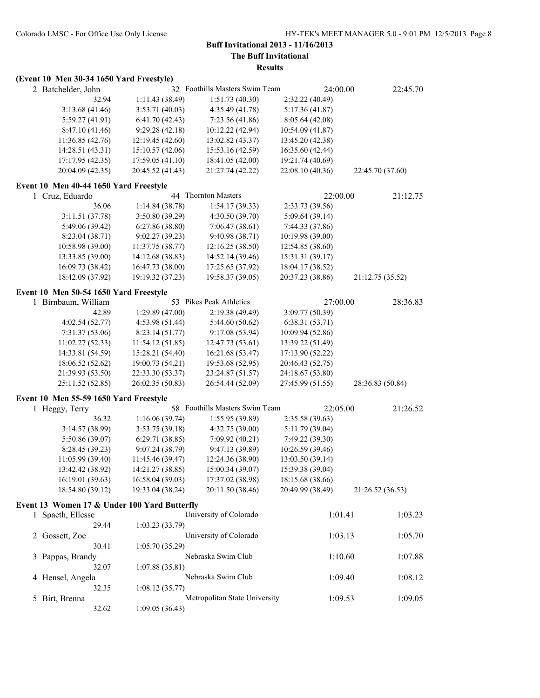**The Buff Invitational**

|  | (Event 10 Men 30-34 1650 Yard Freestyle) |  |
|--|------------------------------------------|--|
|  |                                          |  |

| 2 Batchelder, John                           |                  | 32 Foothills Masters Swim Team |                  | 24:00.00 | 22:45.70         |
|----------------------------------------------|------------------|--------------------------------|------------------|----------|------------------|
| 32.94                                        | 1:11.43 (38.49)  | 1:51.73(40.30)                 | 2:32.22 (40.49)  |          |                  |
| 3:13.68(41.46)                               | 3:53.71(40.03)   | 4:35.49 (41.78)                | 5:17.36(41.87)   |          |                  |
| 5:59.27(41.91)                               | 6:41.70(42.43)   | 7:23.56 (41.86)                | 8:05.64(42.08)   |          |                  |
| 8:47.10(41.46)                               | 9:29.28(42.18)   | 10:12.22 (42.94)               | 10:54.09 (41.87) |          |                  |
| 11:36.85 (42.76)                             | 12:19.45 (42.60) | 13:02.82 (43.37)               | 13:45.20 (42.38) |          |                  |
| 14:28.51 (43.31)                             | 15:10.57 (42.06) | 15:53.16 (42.59)               | 16:35.60 (42.44) |          |                  |
| 17:17.95 (42.35)                             | 17:59.05(41.10)  | 18:41.05 (42.00)               | 19:21.74 (40.69) |          |                  |
| 20:04.09 (42.35)                             | 20:45.52 (41.43) | 21:27.74 (42.22)               | 22:08.10 (40.36) |          | 22:45.70 (37.60) |
| Event 10 Men 40-44 1650 Yard Freestyle       |                  |                                |                  |          |                  |
| 1 Cruz, Eduardo                              |                  | 44 Thornton Masters            |                  | 22:00.00 | 21:12.75         |
| 36.06                                        | 1:14.84(38.78)   | 1:54.17(39.33)                 | 2:33.73 (39.56)  |          |                  |
| 3:11.51(37.78)                               | 3:50.80 (39.29)  | 4:30.50(39.70)                 | 5:09.64(39.14)   |          |                  |
| 5:49.06 (39.42)                              | 6:27.86(38.80)   | 7:06.47(38.61)                 | 7:44.33 (37.86)  |          |                  |
| 8:23.04 (38.71)                              | 9:02.27(39.23)   | 9:40.98 (38.71)                | 10:19.98 (39.00) |          |                  |
| 10:58.98 (39.00)                             | 11:37.75 (38.77) | 12:16.25 (38.50)               | 12:54.85 (38.60) |          |                  |
| 13:33.85 (39.00)                             | 14:12.68 (38.83) | 14:52.14 (39.46)               | 15:31.31 (39.17) |          |                  |
| 16:09.73 (38.42)                             | 16:47.73 (38.00) | 17:25.65 (37.92)               | 18:04.17 (38.52) |          |                  |
| 18:42.09 (37.92)                             | 19:19.32 (37.23) | 19:58.37 (39.05)               | 20:37.23 (38.86) |          | 21:12.75 (35.52) |
| Event 10 Men 50-54 1650 Yard Freestyle       |                  |                                |                  |          |                  |
| 1 Birnbaum, William                          |                  | 53 Pikes Peak Athletics        |                  | 27:00.00 | 28:36.83         |
| 42.89                                        | 1:29.89 (47.00)  | 2:19.38(49.49)                 | 3:09.77 (50.39)  |          |                  |
| 4:02.54(52.77)                               | 4:53.98 (51.44)  | 5:44.60(50.62)                 | 6:38.31(53.71)   |          |                  |
| 7:31.37 (53.06)                              | 8:23.14 (51.77)  | 9:17.08 (53.94)                | 10:09.94 (52.86) |          |                  |
| 11:02.27 (52.33)                             | 11:54.12 (51.85) | 12:47.73 (53.61)               | 13:39.22 (51.49) |          |                  |
| 14:33.81 (54.59)                             | 15:28.21 (54.40) | 16:21.68 (53.47)               | 17:13.90 (52.22) |          |                  |
| 18:06.52 (52.62)                             | 19:00.73 (54.21) | 19:53.68 (52.95)               | 20:46.43 (52.75) |          |                  |
| 21:39.93 (53.50)                             | 22:33.30 (53.37) | 23:24.87 (51.57)               | 24:18.67 (53.80) |          |                  |
| 25:11.52 (52.85)                             | 26:02.35 (50.83) | 26:54.44 (52.09)               | 27:45.99 (51.55) |          | 28:36.83 (50.84) |
| Event 10 Men 55-59 1650 Yard Freestyle       |                  |                                |                  |          |                  |
| 1 Heggy, Terry                               |                  | 58 Foothills Masters Swim Team |                  | 22:05.00 | 21:26.52         |
| 36.32                                        | 1:16.06(39.74)   | 1:55.95(39.89)                 | 2:35.58 (39.63)  |          |                  |
| 3:14.57(38.99)                               | 3:53.75(39.18)   | 4:32.75(39.00)                 | 5:11.79 (39.04)  |          |                  |
| 5:50.86 (39.07)                              | 6:29.71(38.85)   | 7:09.92 (40.21)                | 7:49.22 (39.30)  |          |                  |
| 8:28.45 (39.23)                              | 9:07.24 (38.79)  | 9:47.13 (39.89)                | 10:26.59 (39.46) |          |                  |
| 11:05.99 (39.40)                             | 11:45.46 (39.47) | 12:24.36 (38.90)               | 13:03.50 (39.14) |          |                  |
| 13:42.42 (38.92)                             | 14:21.27 (38.85) | 15:00.34 (39.07)               | 15:39.38 (39.04) |          |                  |
| 16:19.01 (39.63)                             | 16:58.04 (39.03) | 17:37.02 (38.98)               | 18:15.68 (38.66) |          |                  |
| 18:54.80 (39.12)                             | 19:33.04 (38.24) | 20:11.50 (38.46)               | 20:49.99 (38.49) |          | 21:26.52 (36.53) |
| Event 13 Women 17 & Under 100 Yard Butterfly |                  |                                |                  |          |                  |
| 1 Spaeth, Ellesse                            |                  | University of Colorado         |                  | 1:01.41  | 1:03.23          |
| 29.44                                        | 1:03.23(33.79)   |                                |                  |          |                  |
| 2 Gossett, Zoe                               |                  | University of Colorado         |                  | 1:03.13  | 1:05.70          |
| 30.41                                        | 1:05.70(35.29)   |                                |                  |          |                  |
| 3 Pappas, Brandy<br>32.07                    | 1:07.88(35.81)   | Nebraska Swim Club             |                  | 1:10.60  | 1:07.88          |
|                                              |                  | Nebraska Swim Club             |                  |          |                  |
| 4 Hensel, Angela                             |                  |                                |                  | 1:09.40  | 1:08.12          |
| 32.35                                        | 1:08.12(35.77)   |                                |                  |          |                  |
| 5 Birt, Brenna                               |                  | Metropolitan State University  |                  | 1:09.53  | 1:09.05          |
| 32.62                                        | 1:09.05(36.43)   |                                |                  |          |                  |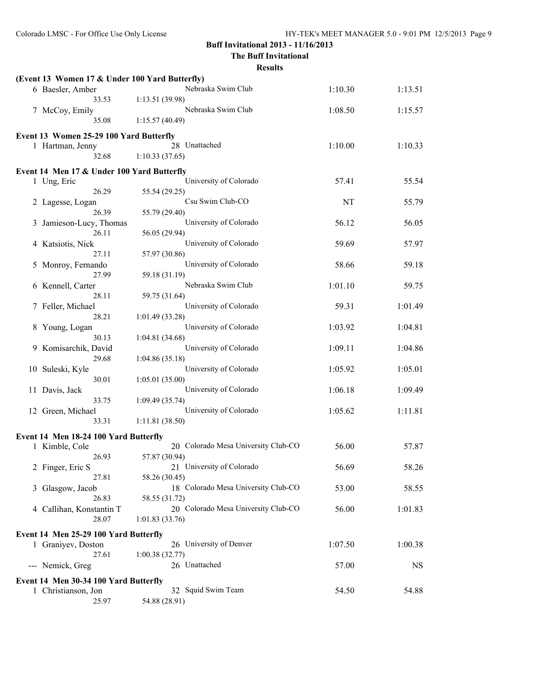**The Buff Invitational**

| (Event 13 Women 17 & Under 100 Yard Butterfly) |                                          |         |           |
|------------------------------------------------|------------------------------------------|---------|-----------|
| 6 Baesler, Amber                               | Nebraska Swim Club                       | 1:10.30 | 1:13.51   |
| 33.53                                          | 1:13.51(39.98)                           |         |           |
| 7 McCoy, Emily                                 | Nebraska Swim Club                       | 1:08.50 | 1:15.57   |
| 35.08                                          | 1:15.57(40.49)                           |         |           |
| Event 13 Women 25-29 100 Yard Butterfly        |                                          |         |           |
| 1 Hartman, Jenny                               | 28 Unattached                            | 1:10.00 | 1:10.33   |
| 32.68                                          | 1:10.33(37.65)                           |         |           |
| Event 14 Men 17 & Under 100 Yard Butterfly     |                                          |         |           |
| 1 Ung, Eric                                    | University of Colorado                   | 57.41   | 55.54     |
| 26.29                                          | 55.54 (29.25)                            |         |           |
| 2 Lagesse, Logan                               | Csu Swim Club-CO                         | NT      | 55.79     |
| 26.39                                          | 55.79 (29.40)                            |         |           |
| 3 Jamieson-Lucy, Thomas                        | University of Colorado                   | 56.12   | 56.05     |
| 26.11                                          | 56.05 (29.94)                            |         |           |
| 4 Katsiotis, Nick                              | University of Colorado                   | 59.69   | 57.97     |
| 27.11                                          | 57.97 (30.86)                            |         |           |
| 5 Monroy, Fernando                             | University of Colorado                   | 58.66   | 59.18     |
| 27.99                                          | 59.18 (31.19)                            |         |           |
| 6 Kennell, Carter                              | Nebraska Swim Club                       | 1:01.10 | 59.75     |
| 28.11                                          | 59.75 (31.64)                            |         |           |
| 7 Feller, Michael                              | University of Colorado                   | 59.31   | 1:01.49   |
| 28.21                                          | 1:01.49(33.28)<br>University of Colorado | 1:03.92 | 1:04.81   |
| 8 Young, Logan<br>30.13                        | 1:04.81(34.68)                           |         |           |
| 9 Komisarchik, David                           | University of Colorado                   | 1:09.11 | 1:04.86   |
| 29.68                                          | 1:04.86(35.18)                           |         |           |
| 10 Suleski, Kyle                               | University of Colorado                   | 1:05.92 | 1:05.01   |
| 30.01                                          | 1:05.01(35.00)                           |         |           |
| 11 Davis, Jack                                 | University of Colorado                   | 1:06.18 | 1:09.49   |
| 33.75                                          | 1:09.49(35.74)                           |         |           |
| 12 Green, Michael                              | University of Colorado                   | 1:05.62 | 1:11.81   |
| 33.31                                          | 1:11.81(38.50)                           |         |           |
| Event 14 Men 18-24 100 Yard Butterfly          |                                          |         |           |
| 1 Kimble, Cole                                 | 20 Colorado Mesa University Club-CO      | 56.00   | 57.87     |
| 26.93                                          | 57.87 (30.94)                            |         |           |
| 2 Finger, Eric S                               | 21 University of Colorado                | 56.69   | 58.26     |
| 27.81                                          | 58.26 (30.45)                            |         |           |
| 3 Glasgow, Jacob                               | 18 Colorado Mesa University Club-CO      | 53.00   | 58.55     |
| 26.83                                          | 58.55 (31.72)                            |         |           |
| 4 Callihan, Konstantin T                       | 20 Colorado Mesa University Club-CO      | 56.00   | 1:01.83   |
| 28.07                                          | 1:01.83(33.76)                           |         |           |
| Event 14 Men 25-29 100 Yard Butterfly          |                                          |         |           |
| 1 Graniyev, Doston                             | 26 University of Denver                  | 1:07.50 | 1:00.38   |
| 27.61                                          | 1:00.38(32.77)                           |         |           |
| --- Nemick, Greg                               | 26 Unattached                            | 57.00   | <b>NS</b> |
| Event 14 Men 30-34 100 Yard Butterfly          |                                          |         |           |
| 1 Christianson, Jon                            | 32 Squid Swim Team                       | 54.50   | 54.88     |
| 25.97                                          | 54.88 (28.91)                            |         |           |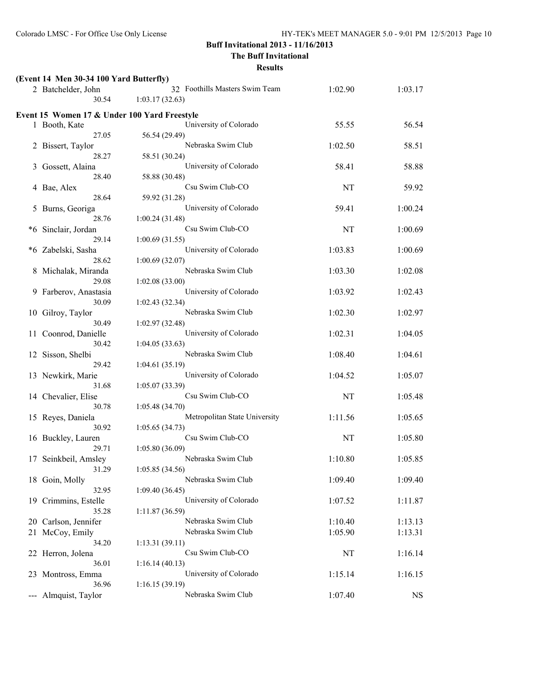**The Buff Invitational**

|                            | (Event 14 Men 30-34 100 Yard Butterfly)      |                                                  |           |           |
|----------------------------|----------------------------------------------|--------------------------------------------------|-----------|-----------|
|                            | 2 Batchelder, John<br>30.54                  | 32 Foothills Masters Swim Team<br>1:03.17(32.63) | 1:02.90   | 1:03.17   |
|                            |                                              |                                                  |           |           |
|                            | Event 15 Women 17 & Under 100 Yard Freestyle |                                                  |           |           |
|                            | 1 Booth, Kate                                | University of Colorado                           | 55.55     | 56.54     |
|                            | 27.05                                        | 56.54 (29.49)                                    |           |           |
|                            | 2 Bissert, Taylor                            | Nebraska Swim Club                               | 1:02.50   | 58.51     |
|                            | 28.27                                        | 58.51 (30.24)                                    |           |           |
| 3                          | Gossett, Alaina                              | University of Colorado                           | 58.41     | 58.88     |
|                            | 28.40                                        | 58.88 (30.48)                                    |           |           |
| 4                          | Bae, Alex                                    | Csu Swim Club-CO                                 | NT        | 59.92     |
|                            | 28.64                                        | 59.92 (31.28)                                    |           |           |
| 5                          | Burns, Georiga                               | University of Colorado                           | 59.41     | 1:00.24   |
|                            | 28.76                                        | 1:00.24(31.48)                                   |           |           |
| *6                         | Sinclair, Jordan                             | Csu Swim Club-CO                                 | <b>NT</b> | 1:00.69   |
|                            | 29.14                                        | 1:00.69(31.55)                                   |           |           |
| *6                         | Zabelski, Sasha                              | University of Colorado                           | 1:03.83   | 1:00.69   |
|                            | 28.62                                        | 1:00.69(32.07)                                   |           |           |
| 8                          | Michalak, Miranda                            | Nebraska Swim Club                               | 1:03.30   | 1:02.08   |
|                            | 29.08                                        | 1:02.08(33.00)                                   |           |           |
| 9.                         | Farberov, Anastasia                          | University of Colorado                           | 1:03.92   | 1:02.43   |
|                            | 30.09                                        | 1:02.43(32.34)                                   |           |           |
|                            | 10 Gilroy, Taylor                            | Nebraska Swim Club                               | 1:02.30   | 1:02.97   |
|                            | 30.49                                        | 1:02.97(32.48)                                   |           |           |
|                            | 11 Coonrod, Danielle                         | University of Colorado                           | 1:02.31   | 1:04.05   |
|                            | 30.42                                        | 1:04.05(33.63)                                   |           |           |
|                            | 12 Sisson, Shelbi                            | Nebraska Swim Club                               | 1:08.40   | 1:04.61   |
|                            | 29.42                                        | 1:04.61(35.19)                                   |           |           |
|                            | 13 Newkirk, Marie                            | University of Colorado                           | 1:04.52   | 1:05.07   |
|                            | 31.68                                        | 1:05.07(33.39)                                   |           |           |
|                            | 14 Chevalier, Elise                          | Csu Swim Club-CO                                 | NT        | 1:05.48   |
|                            | 30.78                                        | 1:05.48(34.70)                                   |           |           |
|                            | 15 Reyes, Daniela                            | Metropolitan State University                    | 1:11.56   | 1:05.65   |
|                            | 30.92                                        | 1:05.65(34.73)                                   |           |           |
|                            | 16 Buckley, Lauren                           | Csu Swim Club-CO                                 | NT        | 1:05.80   |
|                            | 29.71                                        | 1:05.80(36.09)                                   |           |           |
|                            | 17 Seinkbeil, Amsley                         | Nebraska Swim Club                               | 1:10.80   | 1:05.85   |
|                            | 31.29                                        | 1:05.85 (34.56)                                  |           |           |
|                            | 18 Goin, Molly                               | Nebraska Swim Club                               | 1:09.40   | 1:09.40   |
|                            | 32.95                                        | 1:09.40(36.45)                                   |           |           |
|                            | 19 Crimmins, Estelle                         | University of Colorado                           | 1:07.52   | 1:11.87   |
|                            | 35.28                                        | 1:11.87(36.59)                                   |           |           |
|                            | 20 Carlson, Jennifer                         | Nebraska Swim Club                               | 1:10.40   | 1:13.13   |
|                            | 21 McCoy, Emily                              | Nebraska Swim Club                               | 1:05.90   | 1:13.31   |
|                            | 34.20                                        | 1:13.31(39.11)                                   |           |           |
|                            | 22 Herron, Jolena                            | Csu Swim Club-CO                                 | NT        | 1:16.14   |
|                            | 36.01                                        | 1:16.14(40.13)<br>University of Colorado         |           |           |
|                            | 23 Montross, Emma                            |                                                  | 1:15.14   | 1:16.15   |
|                            | 36.96                                        | 1:16.15(39.19)<br>Nebraska Swim Club             | 1:07.40   |           |
| $\qquad \qquad \text{---}$ | Almquist, Taylor                             |                                                  |           | <b>NS</b> |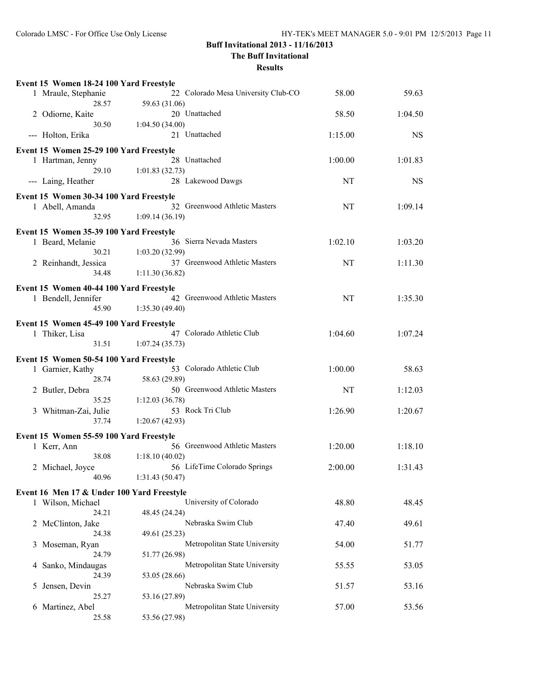**The Buff Invitational**

|   | Event 15 Women 18-24 100 Yard Freestyle    |                                             |         |         |
|---|--------------------------------------------|---------------------------------------------|---------|---------|
|   | 1 Mraule, Stephanie                        | 22 Colorado Mesa University Club-CO         | 58.00   | 59.63   |
|   | 28.57                                      | 59.63 (31.06)                               |         |         |
|   | 2 Odiorne, Kaite                           | 20 Unattached                               | 58.50   | 1:04.50 |
|   | 30.50                                      | 1:04.50(34.00)                              |         |         |
|   | --- Holton, Erika                          | 21 Unattached                               | 1:15.00 | NS.     |
|   | Event 15 Women 25-29 100 Yard Freestyle    |                                             |         |         |
|   | 1 Hartman, Jenny                           | 28 Unattached                               | 1:00.00 | 1:01.83 |
|   | 29.10                                      | 1:01.83(32.73)                              |         |         |
|   | --- Laing, Heather                         | 28 Lakewood Dawgs                           | NT      | NS      |
|   | Event 15 Women 30-34 100 Yard Freestyle    |                                             |         |         |
|   | 1 Abell, Amanda                            | 32 Greenwood Athletic Masters               | NT      | 1:09.14 |
|   | 32.95                                      | 1:09.14(36.19)                              |         |         |
|   |                                            |                                             |         |         |
|   | Event 15 Women 35-39 100 Yard Freestyle    |                                             |         |         |
|   | 1 Beard, Melanie<br>30.21                  | 36 Sierra Nevada Masters<br>1:03.20 (32.99) | 1:02.10 | 1:03.20 |
|   | 2 Reinhandt, Jessica                       | 37 Greenwood Athletic Masters               | NT      | 1:11.30 |
|   | 34.48                                      | 1:11.30(36.82)                              |         |         |
|   |                                            |                                             |         |         |
|   | Event 15 Women 40-44 100 Yard Freestyle    |                                             |         |         |
|   | 1 Bendell, Jennifer                        | 42 Greenwood Athletic Masters               | NT      | 1:35.30 |
|   | 45.90                                      | 1:35.30(49.40)                              |         |         |
|   | Event 15 Women 45-49 100 Yard Freestyle    |                                             |         |         |
|   | 1 Thiker, Lisa                             | 47 Colorado Athletic Club                   | 1:04.60 | 1:07.24 |
|   | 31.51                                      | 1:07.24(35.73)                              |         |         |
|   | Event 15 Women 50-54 100 Yard Freestyle    |                                             |         |         |
|   | 1 Garnier, Kathy                           | 53 Colorado Athletic Club                   | 1:00.00 | 58.63   |
|   | 28.74                                      | 58.63 (29.89)                               |         |         |
|   | 2 Butler, Debra                            | 50 Greenwood Athletic Masters               | NT      | 1:12.03 |
|   | 35.25                                      | 1:12.03 (36.78)                             |         |         |
|   | 3 Whitman-Zai, Julie                       | 53 Rock Tri Club                            | 1:26.90 | 1:20.67 |
|   | 37.74                                      | 1:20.67(42.93)                              |         |         |
|   | Event 15 Women 55-59 100 Yard Freestyle    |                                             |         |         |
|   | 1 Kerr, Ann                                | 56 Greenwood Athletic Masters               | 1:20.00 | 1:18.10 |
|   | 38.08                                      | 1:18.10(40.02)                              |         |         |
|   | 2 Michael, Joyce                           | 56 LifeTime Colorado Springs                | 2:00.00 | 1:31.43 |
|   | 40.96                                      | 1:31.43(50.47)                              |         |         |
|   | Event 16 Men 17 & Under 100 Yard Freestyle |                                             |         |         |
|   | 1 Wilson, Michael                          | University of Colorado                      | 48.80   | 48.45   |
|   | 24.21                                      | 48.45 (24.24)                               |         |         |
|   | 2 McClinton, Jake                          | Nebraska Swim Club                          | 47.40   | 49.61   |
|   | 24.38                                      | 49.61 (25.23)                               |         |         |
| 3 | Moseman, Ryan                              | Metropolitan State University               | 54.00   | 51.77   |
|   | 24.79                                      | 51.77 (26.98)                               |         |         |
| 4 | Sanko, Mindaugas                           | Metropolitan State University               | 55.55   | 53.05   |
|   | 24.39                                      | 53.05 (28.66)                               |         |         |
| 5 | Jensen, Devin                              | Nebraska Swim Club                          | 51.57   | 53.16   |
|   | 25.27                                      | 53.16 (27.89)                               |         |         |
| 6 | Martinez, Abel                             | Metropolitan State University               | 57.00   | 53.56   |
|   | 25.58                                      | 53.56 (27.98)                               |         |         |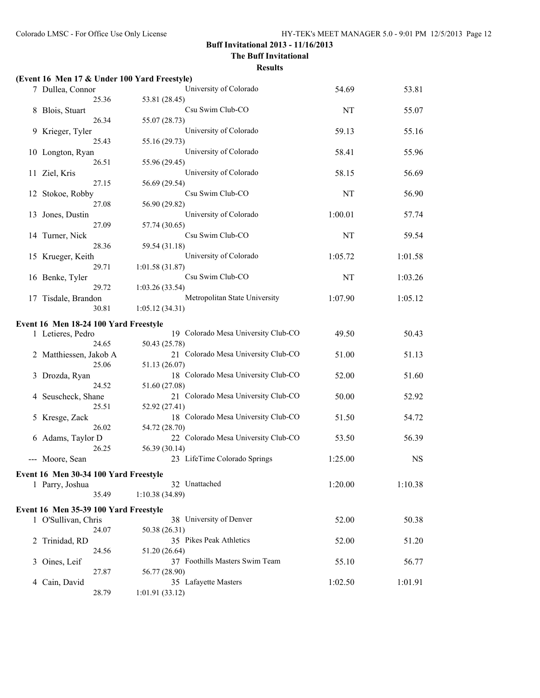**The Buff Invitational**

|   | (Event 16 Men 17 & Under 100 Yard Freestyle) |                                                      |         |           |
|---|----------------------------------------------|------------------------------------------------------|---------|-----------|
|   | 7 Dullea, Connor                             | University of Colorado                               | 54.69   | 53.81     |
|   | 25.36                                        | 53.81 (28.45)                                        |         |           |
| 8 | Blois, Stuart                                | Csu Swim Club-CO                                     | NT      | 55.07     |
|   | 26.34                                        | 55.07 (28.73)                                        |         |           |
| 9 | Krieger, Tyler                               | University of Colorado                               | 59.13   | 55.16     |
|   | 25.43                                        | 55.16 (29.73)<br>University of Colorado              | 58.41   | 55.96     |
|   | 10 Longton, Ryan<br>26.51                    | 55.96 (29.45)                                        |         |           |
|   | 11 Ziel, Kris                                | University of Colorado                               | 58.15   | 56.69     |
|   | 27.15                                        | 56.69 (29.54)                                        |         |           |
|   | 12 Stokoe, Robby                             | Csu Swim Club-CO                                     | NT      | 56.90     |
|   | 27.08                                        | 56.90 (29.82)                                        |         |           |
|   | 13 Jones, Dustin                             | University of Colorado                               | 1:00.01 | 57.74     |
|   | 27.09                                        | 57.74 (30.65)                                        |         |           |
|   | 14 Turner, Nick                              | Csu Swim Club-CO                                     | NT      | 59.54     |
|   | 28.36                                        | 59.54 (31.18)<br>University of Colorado              |         |           |
|   | 15 Krueger, Keith<br>29.71                   | 1:01.58(31.87)                                       | 1:05.72 | 1:01.58   |
|   | 16 Benke, Tyler                              | Csu Swim Club-CO                                     | NT      | 1:03.26   |
|   | 29.72                                        | 1:03.26(33.54)                                       |         |           |
|   | 17 Tisdale, Brandon                          | Metropolitan State University                        | 1:07.90 | 1:05.12   |
|   | 30.81                                        | 1:05.12(34.31)                                       |         |           |
|   | Event 16 Men 18-24 100 Yard Freestyle        |                                                      |         |           |
|   | 1 Letieres, Pedro                            | 19 Colorado Mesa University Club-CO                  | 49.50   | 50.43     |
|   | 24.65                                        | 50.43 (25.78)                                        |         |           |
|   | 2 Matthiessen, Jakob A                       | 21 Colorado Mesa University Club-CO                  | 51.00   | 51.13     |
|   | 25.06                                        | 51.13 (26.07)                                        |         |           |
|   | Drozda, Ryan                                 | 18 Colorado Mesa University Club-CO                  | 52.00   | 51.60     |
|   | 24.52                                        | 51.60 (27.08)                                        |         |           |
| 4 | Seuscheck, Shane<br>25.51                    | 21 Colorado Mesa University Club-CO                  | 50.00   | 52.92     |
| 5 | Kresge, Zack                                 | 52.92 (27.41)<br>18 Colorado Mesa University Club-CO | 51.50   | 54.72     |
|   | 26.02                                        | 54.72 (28.70)                                        |         |           |
| 6 | Adams, Taylor D                              | 22 Colorado Mesa University Club-CO                  | 53.50   | 56.39     |
|   | 26.25                                        | 56.39 (30.14)                                        |         |           |
|   | Moore, Sean                                  | 23 LifeTime Colorado Springs                         | 1:25.00 | <b>NS</b> |
|   | Event 16 Men 30-34 100 Yard Freestyle        |                                                      |         |           |
|   | 1 Parry, Joshua                              | 32 Unattached                                        | 1:20.00 | 1:10.38   |
|   | 35.49                                        | 1:10.38(34.89)                                       |         |           |
|   | Event 16 Men 35-39 100 Yard Freestyle        |                                                      |         |           |
|   | 1 O'Sullivan, Chris                          | 38 University of Denver                              | 52.00   | 50.38     |
|   | 24.07                                        | 50.38 (26.31)                                        |         |           |
|   | 2 Trinidad, RD                               | 35 Pikes Peak Athletics                              | 52.00   | 51.20     |
|   | 24.56                                        | 51.20 (26.64)                                        |         |           |
| 3 | Oines, Leif                                  | 37 Foothills Masters Swim Team                       | 55.10   | 56.77     |
|   | 27.87                                        | 56.77 (28.90)                                        |         |           |
| 4 | Cain, David                                  | 35 Lafayette Masters                                 | 1:02.50 | 1:01.91   |
|   | 28.79                                        | 1:01.91(33.12)                                       |         |           |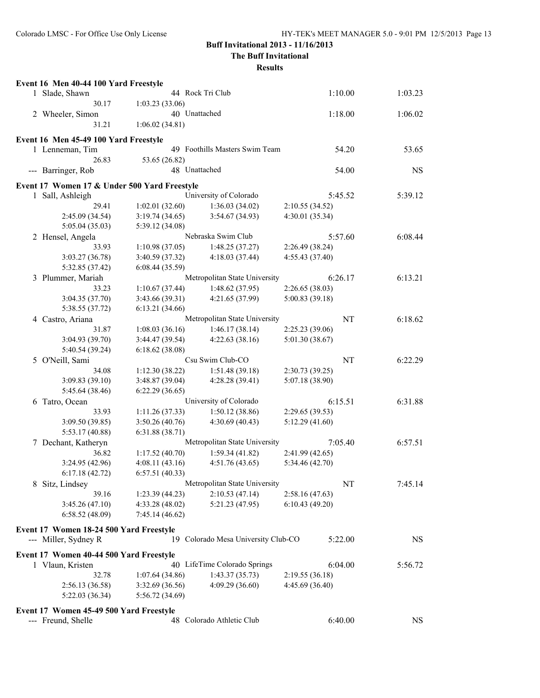**The Buff Invitational**

| Event 16 Men 40-44 100 Yard Freestyle        |                 |                                  |                 |                      |
|----------------------------------------------|-----------------|----------------------------------|-----------------|----------------------|
| 1 Slade, Shawn                               |                 | 44 Rock Tri Club                 | 1:10.00         | 1:03.23              |
| 30.17<br>1:03.23(33.06)                      |                 |                                  |                 |                      |
| 2 Wheeler, Simon                             | 40 Unattached   |                                  | 1:18.00         | 1:06.02              |
| 31.21                                        | 1:06.02(34.81)  |                                  |                 |                      |
| Event 16 Men 45-49 100 Yard Freestyle        |                 |                                  |                 |                      |
| 1 Lenneman, Tim                              |                 | 49 Foothills Masters Swim Team   |                 | 54.20<br>53.65       |
| 26.83                                        | 53.65 (26.82)   |                                  |                 |                      |
| --- Barringer, Rob                           | 48 Unattached   |                                  |                 | <b>NS</b><br>54.00   |
| Event 17 Women 17 & Under 500 Yard Freestyle |                 |                                  |                 |                      |
| 1 Sall, Ashleigh                             |                 | University of Colorado           | 5:45.52         | 5:39.12              |
| 29.41                                        | 1:02.01(32.60)  | 1:36.03(34.02)                   | 2:10.55 (34.52) |                      |
| 2:45.09 (34.54)                              | 3:19.74(34.65)  | 3:54.67(34.93)                   | 4:30.01 (35.34) |                      |
| 5:05.04(35.03)                               | 5:39.12 (34.08) |                                  |                 |                      |
| 2 Hensel, Angela                             |                 | Nebraska Swim Club               | 5:57.60         | 6:08.44              |
| 33.93                                        | 1:10.98(37.05)  | 1:48.25(37.27)                   | 2:26.49 (38.24) |                      |
| 3:03.27(36.78)                               | 3:40.59 (37.32) | 4:18.03 (37.44)                  | 4:55.43 (37.40) |                      |
| 5:32.85 (37.42)                              | 6:08.44(35.59)  |                                  |                 |                      |
| 3 Plummer, Mariah                            |                 | Metropolitan State University    | 6:26.17         | 6:13.21              |
| 33.23                                        | 1:10.67(37.44)  | 1:48.62(37.95)                   | 2:26.65(38.03)  |                      |
| 3:04.35 (37.70)                              | 3:43.66 (39.31) | 4:21.65(37.99)                   | 5:00.83 (39.18) |                      |
| 5:38.55 (37.72)                              | 6:13.21(34.66)  |                                  |                 |                      |
| 4 Castro, Ariana                             |                 | Metropolitan State University    |                 | <b>NT</b><br>6:18.62 |
| 31.87                                        | 1:08.03(36.16)  | 1:46.17(38.14)                   | 2:25.23 (39.06) |                      |
| 3:04.93 (39.70)                              | 3:44.47 (39.54) | 4:22.63(38.16)                   | 5:01.30 (38.67) |                      |
| 5:40.54 (39.24)                              | 6:18.62(38.08)  |                                  |                 |                      |
| 5 O'Neill, Sami                              |                 | Csu Swim Club-CO                 |                 | NT<br>6:22.29        |
| 34.08                                        | 1:12.30(38.22)  | 1:51.48(39.18)                   | 2:30.73 (39.25) |                      |
| 3:09.83(39.10)                               | 3:48.87 (39.04) | 4:28.28 (39.41)                  | 5:07.18 (38.90) |                      |
| 5:45.64 (38.46)                              | 6:22.29(36.65)  |                                  |                 |                      |
| 6 Tatro, Ocean                               |                 | University of Colorado           | 6:15.51         | 6:31.88              |
| 33.93                                        | 1:11.26(37.33)  | 1:50.12(38.86)                   | 2:29.65 (39.53) |                      |
| 3:09.50 (39.85)                              | 3:50.26(40.76)  | 4:30.69 (40.43)                  | 5:12.29(41.60)  |                      |
| 5:53.17 (40.88)                              | 6:31.88(38.71)  |                                  |                 |                      |
| 7 Dechant, Katheryn                          |                 | Metropolitan State University    | 7:05.40         | 6:57.51              |
| 36.82                                        | 1:17.52 (40.70) | 1:59.34(41.82)                   | 2:41.99(42.65)  |                      |
| 3:24.95 (42.96)                              | 4:08.11(43.16)  | 4:51.76(43.65)                   | 5:34.46 (42.70) |                      |
| 6:17.18(42.72)                               | 6:57.51(40.33)  |                                  |                 |                      |
| 8 Sitz, Lindsey                              |                 | Metropolitan State University    |                 | NT<br>7:45.14        |
| 39.16                                        | 1:23.39(44.23)  | 2:10.53(47.14)                   | 2:58.16(47.63)  |                      |
| 3:45.26(47.10)                               | 4:33.28 (48.02) | 5:21.23 (47.95)                  | 6:10.43(49.20)  |                      |
| 6:58.52(48.09)                               | 7:45.14(46.62)  |                                  |                 |                      |
| Event 17 Women 18-24 500 Yard Freestyle      |                 |                                  |                 |                      |
| --- Miller, Sydney R                         | 19.             | Colorado Mesa University Club-CO | 5:22.00         | <b>NS</b>            |
|                                              |                 |                                  |                 |                      |
| Event 17 Women 40-44 500 Yard Freestyle      |                 |                                  |                 |                      |
| 1 Vlaun, Kristen                             |                 | 40 LifeTime Colorado Springs     | 6:04.00         | 5:56.72              |
| 32.78                                        | 1:07.64(34.86)  | 1:43.37(35.73)                   | 2:19.55(36.18)  |                      |
| 2:56.13(36.58)                               | 3:32.69 (36.56) | 4:09.29(36.60)                   | 4:45.69(36.40)  |                      |
| 5:22.03(36.34)                               | 5:56.72 (34.69) |                                  |                 |                      |
| Event 17 Women 45-49 500 Yard Freestyle      |                 |                                  |                 |                      |
| --- Freund, Shelle                           |                 | 48 Colorado Athletic Club        | 6:40.00         | <b>NS</b>            |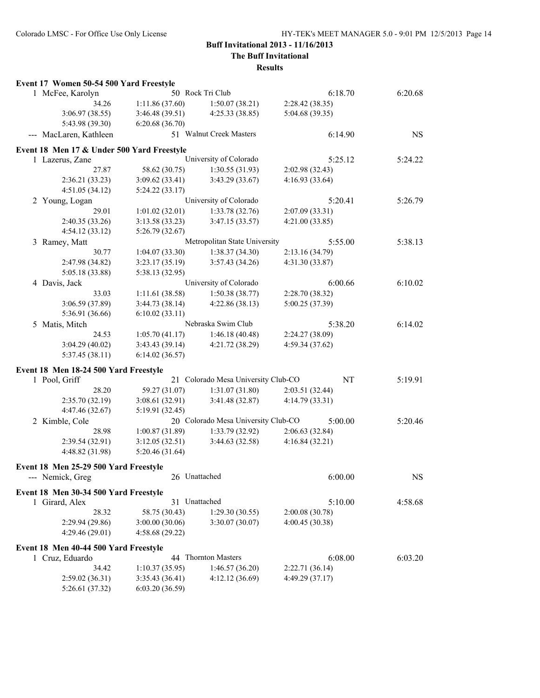### **The Buff Invitational**

| Event 17 Women 50-54 500 Yard Freestyle    |                 |                                     |                 |           |
|--------------------------------------------|-----------------|-------------------------------------|-----------------|-----------|
| 1 McFee, Karolyn                           |                 | 50 Rock Tri Club                    | 6:18.70         | 6:20.68   |
| 34.26                                      | 1:11.86(37.60)  | 1:50.07(38.21)                      | 2:28.42 (38.35) |           |
| 3:06.97(38.55)                             | 3:46.48(39.51)  | 4:25.33(38.85)                      | 5:04.68 (39.35) |           |
| 5:43.98 (39.30)                            | 6:20.68(36.70)  |                                     |                 |           |
| --- MacLaren, Kathleen                     |                 | 51 Walnut Creek Masters             | 6:14.90         | <b>NS</b> |
| Event 18 Men 17 & Under 500 Yard Freestyle |                 |                                     |                 |           |
| 1 Lazerus, Zane                            |                 | University of Colorado              | 5:25.12         | 5:24.22   |
| 27.87                                      | 58.62 (30.75)   | 1:30.55(31.93)                      | 2:02.98(32.43)  |           |
| 2:36.21(33.23)                             | 3:09.62(33.41)  | 3:43.29(33.67)                      | 4:16.93 (33.64) |           |
| 4:51.05(34.12)                             | 5:24.22(33.17)  |                                     |                 |           |
| 2 Young, Logan                             |                 | University of Colorado              | 5:20.41         | 5:26.79   |
| 29.01                                      | 1:01.02(32.01)  | 1:33.78(32.76)                      | 2:07.09(33.31)  |           |
| 2:40.35 (33.26)                            | 3:13.58(33.23)  | 3:47.15(33.57)                      | 4:21.00(33.85)  |           |
| 4:54.12(33.12)                             | 5:26.79(32.67)  |                                     |                 |           |
| 3 Ramey, Matt                              |                 | Metropolitan State University       | 5:55.00         | 5:38.13   |
| 30.77                                      | 1:04.07(33.30)  | 1:38.37(34.30)                      | 2:13.16 (34.79) |           |
| 2:47.98 (34.82)                            | 3:23.17(35.19)  | 3:57.43(34.26)                      | 4:31.30 (33.87) |           |
| 5:05.18 (33.88)                            | 5:38.13 (32.95) |                                     |                 |           |
| 4 Davis, Jack                              |                 | University of Colorado              | 6:00.66         | 6:10.02   |
| 33.03                                      | 1:11.61(38.58)  | 1:50.38(38.77)                      | 2:28.70 (38.32) |           |
| 3:06.59 (37.89)                            | 3:44.73(38.14)  | 4:22.86(38.13)                      | 5:00.25 (37.39) |           |
| 5:36.91 (36.66)                            | 6:10.02(33.11)  |                                     |                 |           |
| 5 Matis, Mitch                             |                 | Nebraska Swim Club                  | 5:38.20         | 6:14.02   |
| 24.53                                      | 1:05.70(41.17)  | 1:46.18(40.48)                      | 2:24.27 (38.09) |           |
| 3:04.29(40.02)                             | 3:43.43(39.14)  | 4:21.72(38.29)                      | 4:59.34(37.62)  |           |
| 5:37.45(38.11)                             | 6:14.02(36.57)  |                                     |                 |           |
| Event 18 Men 18-24 500 Yard Freestyle      |                 |                                     |                 |           |
| 1 Pool, Griff                              |                 | 21 Colorado Mesa University Club-CO | NT              | 5:19.91   |
| 28.20                                      | 59.27 (31.07)   | 1:31.07(31.80)                      | 2:03.51 (32.44) |           |
| 2:35.70 (32.19)                            | 3:08.61(32.91)  | 3:41.48(32.87)                      | 4:14.79 (33.31) |           |
| 4:47.46 (32.67)                            | 5:19.91 (32.45) |                                     |                 |           |
| 2 Kimble, Cole                             |                 | 20 Colorado Mesa University Club-CO | 5:00.00         | 5:20.46   |
| 28.98                                      | 1:00.87(31.89)  | 1:33.79(32.92)                      | 2:06.63(32.84)  |           |
| 2:39.54 (32.91)                            | 3:12.05(32.51)  | 3:44.63(32.58)                      | 4:16.84(32.21)  |           |
| 4:48.82 (31.98)                            | 5:20.46(31.64)  |                                     |                 |           |
| Event 18 Men 25-29 500 Yard Freestyle      |                 |                                     |                 |           |
| --- Nemick, Greg                           | 26 Unattached   |                                     | 6:00.00         | <b>NS</b> |
| Event 18 Men 30-34 500 Yard Freestyle      |                 |                                     |                 |           |
| 1 Girard, Alex                             | 31 Unattached   |                                     | 5:10.00         | 4:58.68   |
| 28.32                                      | 58.75 (30.43)   | 1:29.30(30.55)                      | 2:00.08 (30.78) |           |
| 2:29.94 (29.86)                            | 3:00.00(30.06)  | 3:30.07 (30.07)                     | 4:00.45 (30.38) |           |
| 4:29.46(29.01)                             | 4:58.68 (29.22) |                                     |                 |           |
| Event 18 Men 40-44 500 Yard Freestyle      |                 |                                     |                 |           |
| 1 Cruz, Eduardo                            |                 | 44 Thornton Masters                 | 6:08.00         | 6:03.20   |
| 34.42                                      | 1:10.37(35.95)  | 1:46.57(36.20)                      | 2:22.71(36.14)  |           |
| 2:59.02(36.31)                             | 3:35.43(36.41)  | 4:12.12 (36.69)                     | 4:49.29(37.17)  |           |
| 5:26.61 (37.32)                            | 6:03.20 (36.59) |                                     |                 |           |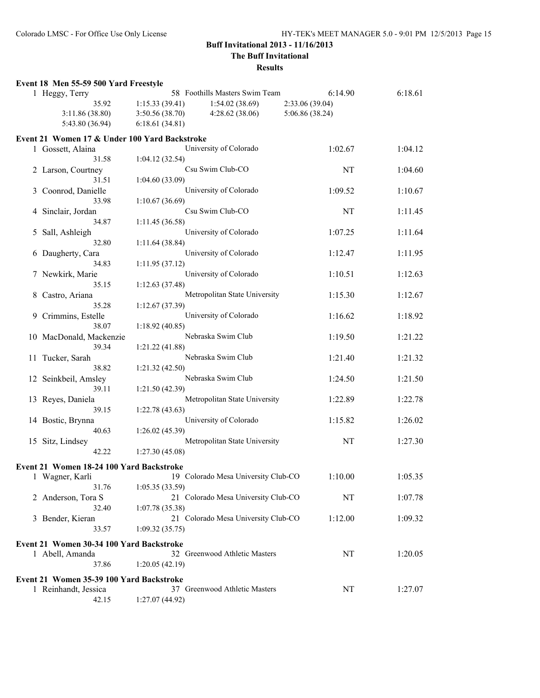**The Buff Invitational**

|   | Event 18 Men 55-59 500 Yard Freestyle         |                 |                                     |                 |         |
|---|-----------------------------------------------|-----------------|-------------------------------------|-----------------|---------|
|   | 1 Heggy, Terry                                |                 | 58 Foothills Masters Swim Team      | 6:14.90         | 6:18.61 |
|   | 35.92                                         | 1:15.33(39.41)  | 1:54.02(38.69)                      | 2:33.06 (39.04) |         |
|   | 3:11.86 (38.80)                               | 3:50.56(38.70)  | 4:28.62(38.06)                      | 5:06.86 (38.24) |         |
|   | 5:43.80 (36.94)                               | 6:18.61(34.81)  |                                     |                 |         |
|   | Event 21 Women 17 & Under 100 Yard Backstroke |                 |                                     |                 |         |
|   | 1 Gossett, Alaina                             |                 | University of Colorado              | 1:02.67         | 1:04.12 |
|   | 31.58                                         | 1:04.12(32.54)  |                                     |                 |         |
|   | 2 Larson, Courtney                            |                 | Csu Swim Club-CO                    | NT              | 1:04.60 |
|   | 31.51                                         | 1:04.60(33.09)  |                                     |                 |         |
| 3 | Coonrod, Danielle                             |                 | University of Colorado              | 1:09.52         | 1:10.67 |
|   | 33.98                                         | 1:10.67(36.69)  |                                     |                 |         |
| 4 | Sinclair, Jordan                              |                 | Csu Swim Club-CO                    | NT              | 1:11.45 |
|   | 34.87                                         | 1:11.45(36.58)  |                                     |                 |         |
| 5 | Sall, Ashleigh                                |                 | University of Colorado              | 1:07.25         | 1:11.64 |
|   | 32.80                                         | 1:11.64(38.84)  |                                     |                 |         |
| 6 | Daugherty, Cara                               |                 | University of Colorado              | 1:12.47         | 1:11.95 |
|   | 34.83                                         | 1:11.95(37.12)  |                                     |                 |         |
|   | Newkirk, Marie                                |                 | University of Colorado              | 1:10.51         | 1:12.63 |
|   | 35.15                                         | 1:12.63(37.48)  |                                     |                 |         |
| 8 | Castro, Ariana                                |                 | Metropolitan State University       | 1:15.30         | 1:12.67 |
|   | 35.28                                         | 1:12.67(37.39)  |                                     |                 |         |
| 9 | Crimmins, Estelle                             |                 | University of Colorado              | 1:16.62         | 1:18.92 |
|   | 38.07                                         | 1:18.92(40.85)  |                                     |                 |         |
|   | 10 MacDonald, Mackenzie                       |                 | Nebraska Swim Club                  | 1:19.50         | 1:21.22 |
|   | 39.34                                         | 1:21.22 (41.88) |                                     |                 |         |
|   | 11 Tucker, Sarah                              |                 | Nebraska Swim Club                  | 1:21.40         | 1:21.32 |
|   | 38.82                                         | 1:21.32(42.50)  | Nebraska Swim Club                  |                 |         |
|   | 12 Seinkbeil, Amsley<br>39.11                 | 1:21.50(42.39)  |                                     | 1:24.50         | 1:21.50 |
|   |                                               |                 | Metropolitan State University       | 1:22.89         | 1:22.78 |
|   | 13 Reyes, Daniela<br>39.15                    | 1:22.78(43.63)  |                                     |                 |         |
|   | 14 Bostic, Brynna                             |                 | University of Colorado              | 1:15.82         | 1:26.02 |
|   | 40.63                                         | 1:26.02(45.39)  |                                     |                 |         |
|   | 15 Sitz, Lindsey                              |                 | Metropolitan State University       | NT              | 1:27.30 |
|   | 42.22                                         | 1:27.30(45.08)  |                                     |                 |         |
|   |                                               |                 |                                     |                 |         |
|   | Event 21 Women 18-24 100 Yard Backstroke      |                 |                                     |                 |         |
|   | 1 Wagner, Karli                               |                 | 19 Colorado Mesa University Club-CO | 1:10.00         | 1:05.35 |
|   | 31.76<br>2 Anderson, Tora S                   | 1:05.35(33.59)  | 21 Colorado Mesa University Club-CO | NT              | 1:07.78 |
|   | 32.40                                         | 1:07.78(35.38)  |                                     |                 |         |
| 3 | Bender, Kieran                                |                 | 21 Colorado Mesa University Club-CO | 1:12.00         | 1:09.32 |
|   | 33.57                                         | 1:09.32(35.75)  |                                     |                 |         |
|   |                                               |                 |                                     |                 |         |
|   | Event 21 Women 30-34 100 Yard Backstroke      |                 |                                     |                 |         |
|   | 1 Abell, Amanda                               |                 | 32 Greenwood Athletic Masters       | NT              | 1:20.05 |
|   | 37.86                                         | 1:20.05(42.19)  |                                     |                 |         |
|   | Event 21 Women 35-39 100 Yard Backstroke      |                 |                                     |                 |         |
|   | 1 Reinhandt, Jessica                          |                 | 37 Greenwood Athletic Masters       | NT              | 1:27.07 |
|   | 42.15                                         | 1:27.07(44.92)  |                                     |                 |         |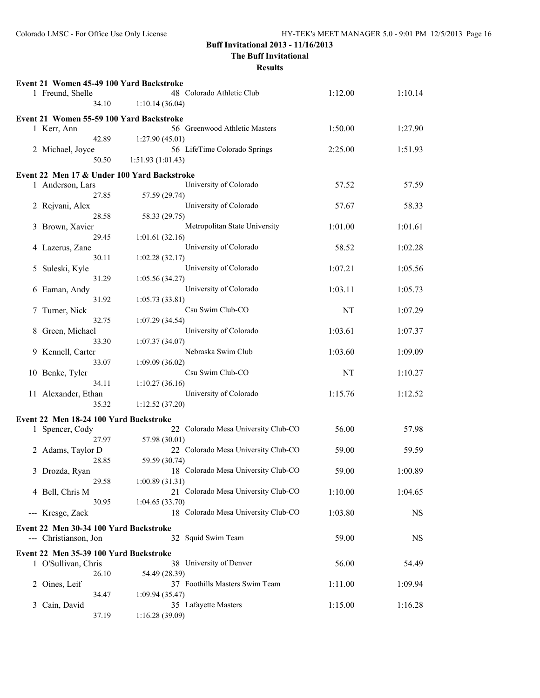### **The Buff Invitational**

|   | Event 21 Women 45-49 100 Yard Backstroke                        |                                                 |         |           |
|---|-----------------------------------------------------------------|-------------------------------------------------|---------|-----------|
|   | 1 Freund, Shelle                                                | 48 Colorado Athletic Club                       | 1:12.00 | 1:10.14   |
|   | 34.10                                                           | 1:10.14(36.04)                                  |         |           |
|   | Event 21 Women 55-59 100 Yard Backstroke                        |                                                 |         |           |
|   | 1 Kerr, Ann                                                     | 56 Greenwood Athletic Masters                   | 1:50.00 | 1:27.90   |
|   | 42.89                                                           | 1:27.90(45.01)                                  |         |           |
|   | 2 Michael, Joyce                                                | 56 LifeTime Colorado Springs                    | 2:25.00 | 1:51.93   |
|   | 50.50                                                           | 1:51.93(1:01.43)                                |         |           |
|   | Event 22 Men 17 & Under 100 Yard Backstroke                     |                                                 |         |           |
|   | 1 Anderson, Lars                                                | University of Colorado                          | 57.52   | 57.59     |
|   | 27.85                                                           | 57.59 (29.74)                                   |         |           |
|   | 2 Rejvani, Alex                                                 | University of Colorado                          | 57.67   | 58.33     |
|   | 28.58                                                           | 58.33 (29.75)                                   |         |           |
|   | 3 Brown, Xavier<br>29.45                                        | Metropolitan State University<br>1:01.61(32.16) | 1:01.00 | 1:01.61   |
|   | 4 Lazerus, Zane                                                 | University of Colorado                          | 58.52   | 1:02.28   |
|   | 30.11                                                           | 1:02.28(32.17)                                  |         |           |
| 5 | Suleski, Kyle                                                   | University of Colorado                          | 1:07.21 | 1:05.56   |
|   | 31.29                                                           | 1:05.56(34.27)                                  |         |           |
|   | 6 Eaman, Andy                                                   | University of Colorado                          | 1:03.11 | 1:05.73   |
|   | 31.92                                                           | 1:05.73(33.81)                                  |         |           |
| 7 | Turner, Nick                                                    | Csu Swim Club-CO                                | NT      | 1:07.29   |
|   | 32.75                                                           | 1:07.29(34.54)                                  |         |           |
| 8 | Green, Michael                                                  | University of Colorado                          | 1:03.61 | 1:07.37   |
|   | 33.30                                                           | 1:07.37(34.07)                                  |         |           |
|   | 9 Kennell, Carter                                               | Nebraska Swim Club                              | 1:03.60 | 1:09.09   |
|   | 33.07<br>10 Benke, Tyler                                        | 1:09.09(36.02)<br>Csu Swim Club-CO              | NT      | 1:10.27   |
|   | 34.11                                                           | 1:10.27(36.16)                                  |         |           |
|   | 11 Alexander, Ethan                                             | University of Colorado                          | 1:15.76 | 1:12.52   |
|   | 35.32                                                           | 1:12.52(37.20)                                  |         |           |
|   |                                                                 |                                                 |         |           |
|   | Event 22 Men 18-24 100 Yard Backstroke<br>1 Spencer, Cody       | 22 Colorado Mesa University Club-CO             | 56.00   | 57.98     |
|   | 27.97                                                           | 57.98 (30.01)                                   |         |           |
|   | 2 Adams, Taylor D                                               | 22 Colorado Mesa University Club-CO             | 59.00   | 59.59     |
|   | 28.85                                                           | 59.59 (30.74)                                   |         |           |
|   | 3 Drozda, Ryan                                                  | 18 Colorado Mesa University Club-CO             | 59.00   | 1:00.89   |
|   | 29.58                                                           | 1:00.89(31.31)                                  |         |           |
|   | 4 Bell, Chris M                                                 | 21 Colorado Mesa University Club-CO             | 1:10.00 | 1:04.65   |
|   | 30.95                                                           | 1:04.65(33.70)                                  |         |           |
|   | --- Kresge, Zack                                                | 18 Colorado Mesa University Club-CO             | 1:03.80 | NS        |
|   | Event 22 Men 30-34 100 Yard Backstroke<br>--- Christianson, Jon | 32 Squid Swim Team                              | 59.00   | <b>NS</b> |
|   | Event 22 Men 35-39 100 Yard Backstroke                          |                                                 |         |           |
|   | 1 O'Sullivan, Chris                                             | 38 University of Denver                         | 56.00   | 54.49     |
|   | 26.10                                                           | 54.49 (28.39)                                   |         |           |
|   | 2 Oines, Leif                                                   | 37 Foothills Masters Swim Team                  | 1:11.00 | 1:09.94   |
|   | 34.47                                                           | 1:09.94(35.47)                                  |         |           |
| 3 | Cain, David                                                     | 35 Lafayette Masters                            | 1:15.00 | 1:16.28   |
|   | 37.19                                                           | 1:16.28 (39.09)                                 |         |           |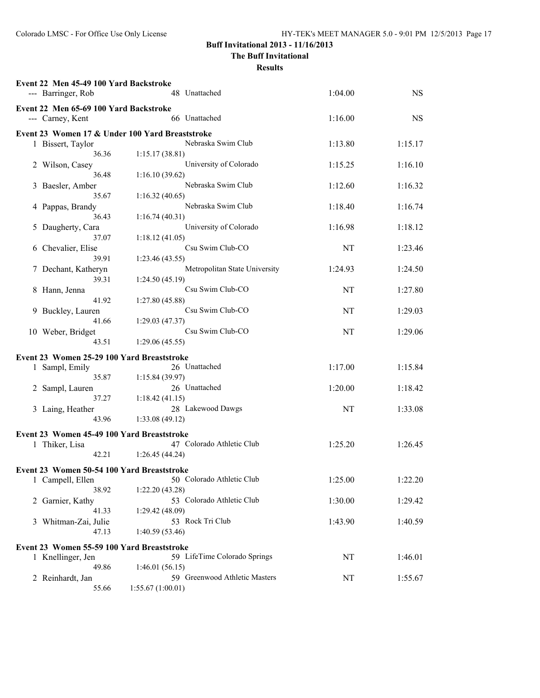**The Buff Invitational**

|   | Event 22 Men 45-49 100 Yard Backstroke<br>--- Barringer, Rob | 48 Unattached                                   | 1:04.00 | <b>NS</b> |
|---|--------------------------------------------------------------|-------------------------------------------------|---------|-----------|
|   | Event 22 Men 65-69 100 Yard Backstroke<br>--- Carney, Kent   | 66 Unattached                                   | 1:16.00 | <b>NS</b> |
|   |                                                              | Event 23 Women 17 & Under 100 Yard Breaststroke |         |           |
|   | 1 Bissert, Taylor                                            | Nebraska Swim Club                              | 1:13.80 | 1:15.17   |
|   | 36.36                                                        | 1:15.17(38.81)                                  |         |           |
|   | 2 Wilson, Casey                                              | University of Colorado                          | 1:15.25 | 1:16.10   |
|   | 36.48                                                        | 1:16.10(39.62)                                  |         |           |
| 3 | Baesler, Amber<br>35.67                                      | Nebraska Swim Club                              | 1:12.60 | 1:16.32   |
|   | 4 Pappas, Brandy                                             | 1:16.32(40.65)<br>Nebraska Swim Club            | 1:18.40 | 1:16.74   |
|   | 36.43                                                        | 1:16.74(40.31)                                  |         |           |
| 5 | Daugherty, Cara                                              | University of Colorado                          | 1:16.98 | 1:18.12   |
|   | 37.07                                                        | 1:18.12(41.05)                                  |         |           |
| 6 | Chevalier, Elise                                             | Csu Swim Club-CO                                | NT      | 1:23.46   |
|   | 39.91                                                        | 1:23.46(43.55)                                  |         |           |
|   | 7 Dechant, Katheryn                                          | Metropolitan State University                   | 1:24.93 | 1:24.50   |
|   | 39.31                                                        | 1:24.50(45.19)                                  |         |           |
| 8 | Hann, Jenna                                                  | Csu Swim Club-CO                                | NT      | 1:27.80   |
| 9 | 41.92<br>Buckley, Lauren                                     | 1:27.80(45.88)<br>Csu Swim Club-CO              | NT      | 1:29.03   |
|   | 41.66                                                        | 1:29.03(47.37)                                  |         |           |
|   | 10 Weber, Bridget                                            | Csu Swim Club-CO                                | NT      | 1:29.06   |
|   | 43.51                                                        | 1:29.06(45.55)                                  |         |           |
|   | Event 23 Women 25-29 100 Yard Breaststroke                   |                                                 |         |           |
|   | 1 Sampl, Emily                                               | 26 Unattached                                   | 1:17.00 | 1:15.84   |
|   | 35.87                                                        | 1:15.84 (39.97)                                 |         |           |
|   | 2 Sampl, Lauren                                              | 26 Unattached                                   | 1:20.00 | 1:18.42   |
|   | 37.27                                                        | 1:18.42(41.15)                                  |         |           |
|   | 3 Laing, Heather                                             | 28 Lakewood Dawgs                               | NT      | 1:33.08   |
|   | 43.96                                                        | 1:33.08 (49.12)                                 |         |           |
|   | Event 23 Women 45-49 100 Yard Breaststroke                   |                                                 |         |           |
|   | 1 Thiker, Lisa                                               | 47 Colorado Athletic Club                       | 1:25.20 | 1:26.45   |
|   | 42.21                                                        | 1:26.45(44.24)                                  |         |           |
|   | Event 23 Women 50-54 100 Yard Breaststroke                   |                                                 |         |           |
|   | 1 Campell, Ellen                                             | 50 Colorado Athletic Club                       | 1:25.00 | 1:22.20   |
|   | 38.92                                                        | 1:22.20(43.28)                                  |         |           |
| 2 | Garnier, Kathy                                               | 53 Colorado Athletic Club                       | 1:30.00 | 1:29.42   |
|   | 41.33                                                        | 1:29.42 (48.09)                                 |         |           |
| 3 | Whitman-Zai, Julie                                           | 53 Rock Tri Club                                | 1:43.90 | 1:40.59   |
|   | 47.13                                                        | 1:40.59 (53.46)                                 |         |           |
|   | Event 23 Women 55-59 100 Yard Breaststroke                   |                                                 |         |           |
|   | 1 Knellinger, Jen                                            | 59 LifeTime Colorado Springs                    | NT      | 1:46.01   |
|   | 49.86                                                        | 1:46.01(56.15)                                  |         |           |
|   | 2 Reinhardt, Jan                                             | 59 Greenwood Athletic Masters                   | NT      | 1:55.67   |
|   | 55.66                                                        | 1:55.67(1:00.01)                                |         |           |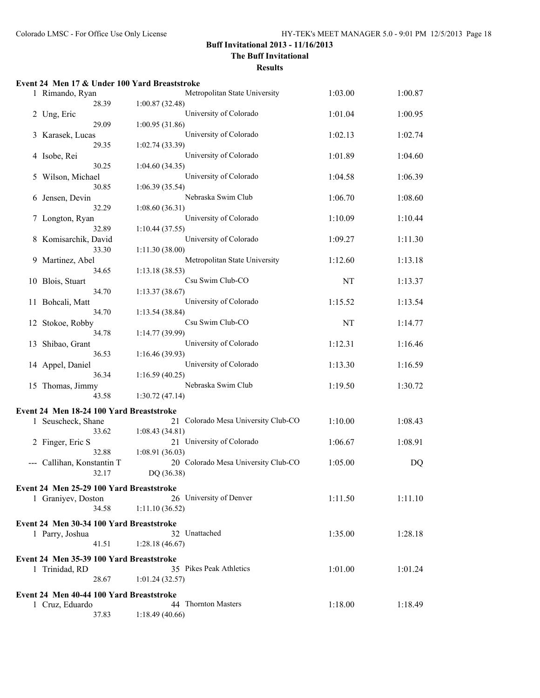**The Buff Invitational**

|    | Event 24 Men 17 & Under 100 Yard Breaststroke |                                          |         |         |
|----|-----------------------------------------------|------------------------------------------|---------|---------|
|    | 1 Rimando, Ryan                               | Metropolitan State University            | 1:03.00 | 1:00.87 |
|    | 28.39                                         | 1:00.87(32.48)                           |         |         |
|    | 2 Ung, Eric                                   | University of Colorado                   | 1:01.04 | 1:00.95 |
|    | 29.09                                         | 1:00.95(31.86)                           |         |         |
| 3  | Karasek, Lucas                                | University of Colorado                   | 1:02.13 | 1:02.74 |
|    | 29.35                                         | 1:02.74 (33.39)                          |         |         |
|    | 4 Isobe, Rei                                  | University of Colorado                   | 1:01.89 | 1:04.60 |
|    | 30.25                                         | 1:04.60(34.35)                           |         |         |
| 5  | Wilson, Michael                               | University of Colorado                   | 1:04.58 | 1:06.39 |
|    | 30.85                                         | 1:06.39(35.54)                           |         |         |
| 6  | Jensen, Devin                                 | Nebraska Swim Club                       | 1:06.70 | 1:08.60 |
|    | 32.29                                         | 1:08.60(36.31)                           |         |         |
|    | 7 Longton, Ryan                               | University of Colorado                   | 1:10.09 | 1:10.44 |
|    | 32.89                                         | 1:10.44(37.55)                           |         |         |
| 8  | Komisarchik, David                            | University of Colorado                   | 1:09.27 | 1:11.30 |
|    | 33.30                                         | 1:11.30 (38.00)                          |         |         |
| 9. | Martinez, Abel                                | Metropolitan State University            | 1:12.60 | 1:13.18 |
|    | 34.65                                         | 1:13.18 (38.53)                          |         |         |
|    | 10 Blois, Stuart<br>34.70                     | Csu Swim Club-CO                         | NT      | 1:13.37 |
|    |                                               | 1:13.37(38.67)<br>University of Colorado | 1:15.52 | 1:13.54 |
|    | 11 Bohcali, Matt<br>34.70                     | 1:13.54(38.84)                           |         |         |
|    | 12 Stokoe, Robby                              | Csu Swim Club-CO                         | NT      | 1:14.77 |
|    | 34.78                                         | 1:14.77(39.99)                           |         |         |
|    | 13 Shibao, Grant                              | University of Colorado                   | 1:12.31 | 1:16.46 |
|    | 36.53                                         | 1:16.46 (39.93)                          |         |         |
|    | 14 Appel, Daniel                              | University of Colorado                   | 1:13.30 | 1:16.59 |
|    | 36.34                                         | 1:16.59(40.25)                           |         |         |
|    | 15 Thomas, Jimmy                              | Nebraska Swim Club                       | 1:19.50 | 1:30.72 |
|    | 43.58                                         | 1:30.72(47.14)                           |         |         |
|    | Event 24 Men 18-24 100 Yard Breaststroke      |                                          |         |         |
|    | 1 Seuscheck, Shane                            | Colorado Mesa University Club-CO<br>21   | 1:10.00 | 1:08.43 |
|    | 33.62                                         | 1:08.43 (34.81)                          |         |         |
|    | 2 Finger, Eric S                              | 21 University of Colorado                | 1:06.67 | 1:08.91 |
|    | 32.88                                         | 1:08.91(36.03)                           |         |         |
|    | --- Callihan, Konstantin T                    | 20 Colorado Mesa University Club-CO      | 1:05.00 | DQ      |
|    | 32.17                                         | DQ (36.38)                               |         |         |
|    |                                               |                                          |         |         |
|    | Event 24 Men 25-29 100 Yard Breaststroke      | 26 University of Denver                  |         |         |
|    | 1 Graniyev, Doston<br>34.58                   | 1:11.10(36.52)                           | 1:11.50 | 1:11.10 |
|    |                                               |                                          |         |         |
|    | Event 24 Men 30-34 100 Yard Breaststroke      |                                          |         |         |
|    | 1 Parry, Joshua                               | 32 Unattached                            | 1:35.00 | 1:28.18 |
|    | 41.51                                         | 1:28.18(46.67)                           |         |         |
|    | Event 24 Men 35-39 100 Yard Breaststroke      |                                          |         |         |
|    | 1 Trinidad, RD                                | 35 Pikes Peak Athletics                  | 1:01.00 | 1:01.24 |
|    | 28.67                                         | 1:01.24(32.57)                           |         |         |
|    | Event 24 Men 40-44 100 Yard Breaststroke      |                                          |         |         |
|    | 1 Cruz, Eduardo                               | 44 Thornton Masters                      | 1:18.00 | 1:18.49 |
|    | 37.83                                         | 1:18.49(40.66)                           |         |         |